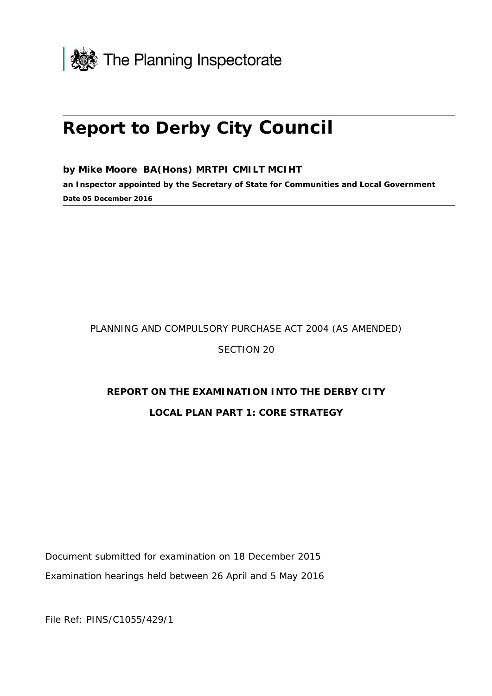

# **Report to Derby City Council**

**by Mike Moore BA(Hons) MRTPI CMILT MCIHT**

**an Inspector appointed by the Secretary of State for Communities and Local Government Date 05 December 2016**

#### PLANNING AND COMPULSORY PURCHASE ACT 2004 (AS AMENDED)

SECTION 20

# **REPORT ON THE EXAMINATION INTO THE DERBY CITY**

#### **LOCAL PLAN PART 1: CORE STRATEGY**

Document submitted for examination on 18 December 2015 Examination hearings held between 26 April and 5 May 2016

File Ref: PINS/C1055/429/1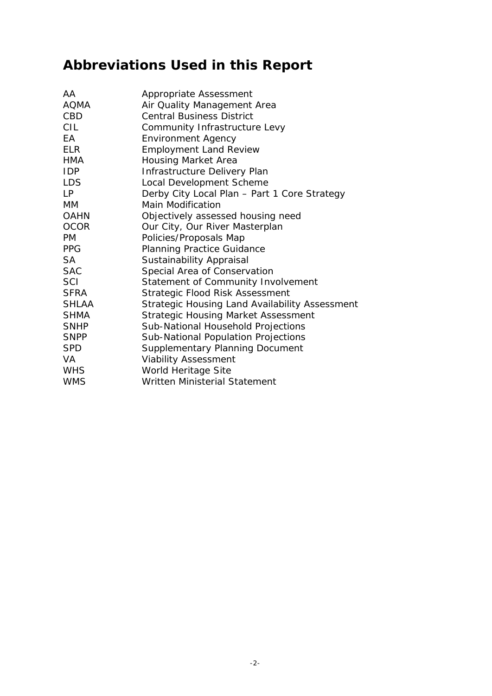# **Abbreviations Used in this Report**

| AA           | Appropriate Assessment                         |
|--------------|------------------------------------------------|
| AQMA         | Air Quality Management Area                    |
| CBD          | <b>Central Business District</b>               |
| CIL          | Community Infrastructure Levy                  |
| FA.          | <b>Environment Agency</b>                      |
| FI R         | <b>Employment Land Review</b>                  |
| <b>HMA</b>   | <b>Housing Market Area</b>                     |
| <b>IDP</b>   | Infrastructure Delivery Plan                   |
| <b>LDS</b>   | Local Development Scheme                       |
| LP           | Derby City Local Plan - Part 1 Core Strategy   |
| МM           | <b>Main Modification</b>                       |
| <b>OAHN</b>  | Objectively assessed housing need              |
| <b>OCOR</b>  | Our City, Our River Masterplan                 |
| PM.          | Policies/Proposals Map                         |
| <b>PPG</b>   | <b>Planning Practice Guidance</b>              |
| SA           | <b>Sustainability Appraisal</b>                |
| <b>SAC</b>   | Special Area of Conservation                   |
| SCI          | Statement of Community Involvement             |
| <b>SFRA</b>  | Strategic Flood Risk Assessment                |
| <b>SHLAA</b> | Strategic Housing Land Availability Assessment |
| <b>SHMA</b>  | <b>Strategic Housing Market Assessment</b>     |
| <b>SNHP</b>  | Sub-National Household Projections             |
| <b>SNPP</b>  | Sub-National Population Projections            |
| <b>SPD</b>   | Supplementary Planning Document                |
| VA           | <b>Viability Assessment</b>                    |
| <b>WHS</b>   | World Heritage Site                            |
| <b>WMS</b>   | <b>Written Ministerial Statement</b>           |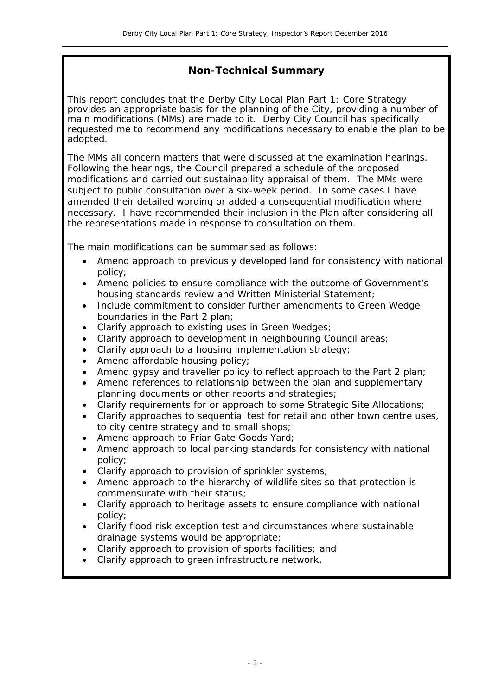#### **Non-Technical Summary**

This report concludes that the Derby City Local Plan Part 1: Core Strategy provides an appropriate basis for the planning of the City, providing a number of main modifications (MMs) are made to it. Derby City Council has specifically requested me to recommend any modifications necessary to enable the plan to be adopted.

The MMs all concern matters that were discussed at the examination hearings. Following the hearings, the Council prepared a schedule of the proposed modifications and carried out sustainability appraisal of them. The MMs were subject to public consultation over a six-week period. In some cases I have amended their detailed wording or added a consequential modification where necessary. I have recommended their inclusion in the Plan after considering all the representations made in response to consultation on them.

The main modifications can be summarised as follows:

- Amend approach to previously developed land for consistency with national policy;
- Amend policies to ensure compliance with the outcome of Government's housing standards review and Written Ministerial Statement;
- Include commitment to consider further amendments to Green Wedge boundaries in the Part 2 plan;
- Clarify approach to existing uses in Green Wedges;
- Clarify approach to development in neighbouring Council areas;
- Clarify approach to a housing implementation strategy;
- Amend affordable housing policy:
- Amend gypsy and traveller policy to reflect approach to the Part 2 plan;
- Amend references to relationship between the plan and supplementary planning documents or other reports and strategies;
- Clarify requirements for or approach to some Strategic Site Allocations:
- Clarify approaches to sequential test for retail and other town centre uses, to city centre strategy and to small shops;
- Amend approach to Friar Gate Goods Yard;
- Amend approach to local parking standards for consistency with national policy;
- Clarify approach to provision of sprinkler systems;
- Amend approach to the hierarchy of wildlife sites so that protection is commensurate with their status;
- Clarify approach to heritage assets to ensure compliance with national policy;
- Clarify flood risk exception test and circumstances where sustainable drainage systems would be appropriate;
- Clarify approach to provision of sports facilities; and
- Clarify approach to green infrastructure network.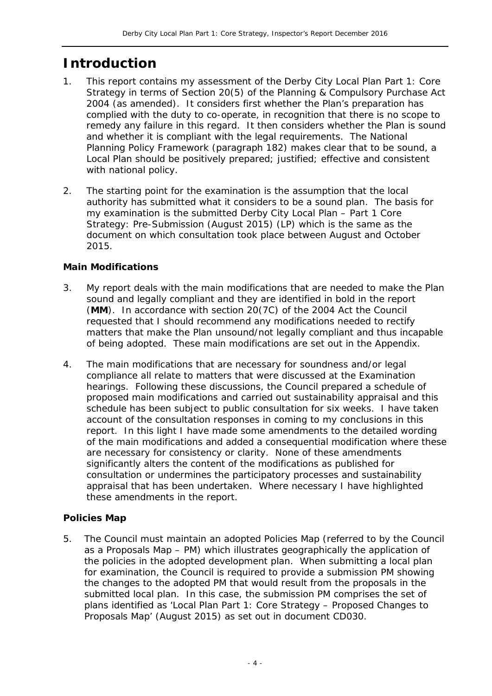# **Introduction**

- 1. This report contains my assessment of the Derby City Local Plan Part 1: Core Strategy in terms of Section 20(5) of the Planning & Compulsory Purchase Act 2004 (as amended). It considers first whether the Plan's preparation has complied with the duty to co-operate, in recognition that there is no scope to remedy any failure in this regard. It then considers whether the Plan is sound and whether it is compliant with the legal requirements. The National Planning Policy Framework (paragraph 182) makes clear that to be sound, a Local Plan should be positively prepared; justified; effective and consistent with national policy.
- 2. The starting point for the examination is the assumption that the local authority has submitted what it considers to be a sound plan. The basis for my examination is the submitted Derby City Local Plan – Part 1 Core Strategy: Pre-Submission (August 2015) (LP) which is the same as the document on which consultation took place between August and October 2015.

#### **Main Modifications**

- 3. My report deals with the main modifications that are needed to make the Plan sound and legally compliant and they are identified in bold in the report (**MM**). In accordance with section 20(7C) of the 2004 Act the Council requested that I should recommend any modifications needed to rectify matters that make the Plan unsound/not legally compliant and thus incapable of being adopted. These main modifications are set out in the Appendix.
- 4. The main modifications that are necessary for soundness and/or legal compliance all relate to matters that were discussed at the Examination hearings. Following these discussions, the Council prepared a schedule of proposed main modifications and carried out sustainability appraisal and this schedule has been subject to public consultation for six weeks. I have taken account of the consultation responses in coming to my conclusions in this report. In this light I have made some amendments to the detailed wording of the main modifications and added a consequential modification where these are necessary for consistency or clarity. None of these amendments significantly alters the content of the modifications as published for consultation or undermines the participatory processes and sustainability appraisal that has been undertaken. Where necessary I have highlighted these amendments in the report.

#### **Policies Map**

5. The Council must maintain an adopted Policies Map (referred to by the Council as a Proposals Map – PM) which illustrates geographically the application of the policies in the adopted development plan. When submitting a local plan for examination, the Council is required to provide a submission PM showing the changes to the adopted PM that would result from the proposals in the submitted local plan. In this case, the submission PM comprises the set of plans identified as 'Local Plan Part 1: Core Strategy – Proposed Changes to Proposals Map' (August 2015) as set out in document CD030.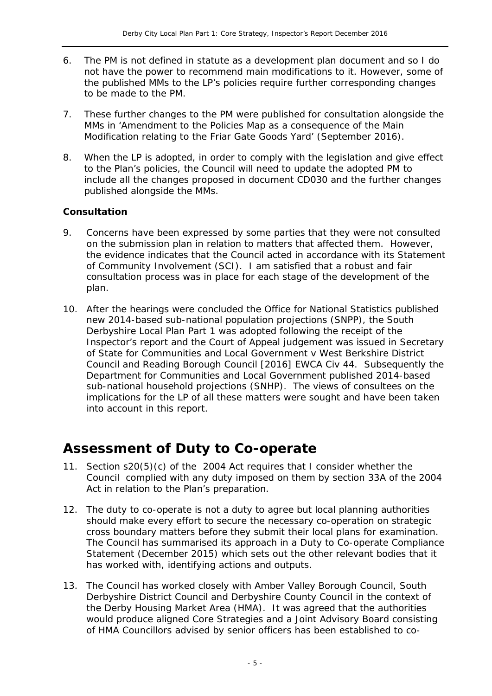- 6. The PM is not defined in statute as a development plan document and so I do not have the power to recommend main modifications to it. However, some of the published MMs to the LP's policies require further corresponding changes to be made to the PM.
- 7. These further changes to the PM were published for consultation alongside the MMs in 'Amendment to the Policies Map as a consequence of the Main Modification relating to the Friar Gate Goods Yard' (September 2016).
- 8. When the LP is adopted, in order to comply with the legislation and give effect to the Plan's policies, the Council will need to update the adopted PM to include all the changes proposed in document CD030 and the further changes published alongside the MMs.

#### **Consultation**

- 9. Concerns have been expressed by some parties that they were not consulted on the submission plan in relation to matters that affected them. However, the evidence indicates that the Council acted in accordance with its Statement of Community Involvement (SCI). I am satisfied that a robust and fair consultation process was in place for each stage of the development of the plan.
- 10. After the hearings were concluded the Office for National Statistics published new 2014-based sub-national population projections (SNPP), the South Derbyshire Local Plan Part 1 was adopted following the receipt of the Inspector's report and the Court of Appeal judgement was issued in *Secretary of State for Communities and Local Government v West Berkshire District Council and Reading Borough Council [2016] EWCA Civ 44*. Subsequently the Department for Communities and Local Government published 2014-based sub-national household projections (SNHP). The views of consultees on the implications for the LP of all these matters were sought and have been taken into account in this report.

# **Assessment of Duty to Co-operate**

- 11. Section s20(5)(c) of the 2004 Act requires that I consider whether the Council complied with any duty imposed on them by section 33A of the 2004 Act in relation to the Plan's preparation.
- 12. The duty to co-operate is not a duty to agree but local planning authorities should make every effort to secure the necessary co-operation on strategic cross boundary matters before they submit their local plans for examination. The Council has summarised its approach in a Duty to Co-operate Compliance Statement (December 2015) which sets out the other relevant bodies that it has worked with, identifying actions and outputs.
- 13. The Council has worked closely with Amber Valley Borough Council, South Derbyshire District Council and Derbyshire County Council in the context of the Derby Housing Market Area (HMA). It was agreed that the authorities would produce aligned Core Strategies and a Joint Advisory Board consisting of HMA Councillors advised by senior officers has been established to co-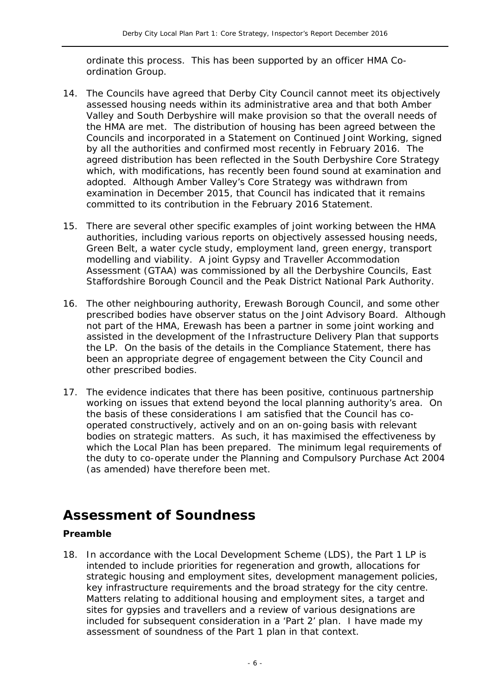ordinate this process. This has been supported by an officer HMA Coordination Group.

- 14. The Councils have agreed that Derby City Council cannot meet its objectively assessed housing needs within its administrative area and that both Amber Valley and South Derbyshire will make provision so that the overall needs of the HMA are met. The distribution of housing has been agreed between the Councils and incorporated in a Statement on Continued Joint Working, signed by all the authorities and confirmed most recently in February 2016. The agreed distribution has been reflected in the South Derbyshire Core Strategy which, with modifications, has recently been found sound at examination and adopted. Although Amber Valley's Core Strategy was withdrawn from examination in December 2015, that Council has indicated that it remains committed to its contribution in the February 2016 Statement.
- 15. There are several other specific examples of joint working between the HMA authorities, including various reports on objectively assessed housing needs, Green Belt, a water cycle study, employment land, green energy, transport modelling and viability. A joint Gypsy and Traveller Accommodation Assessment (GTAA) was commissioned by all the Derbyshire Councils, East Staffordshire Borough Council and the Peak District National Park Authority.
- 16. The other neighbouring authority, Erewash Borough Council, and some other prescribed bodies have observer status on the Joint Advisory Board. Although not part of the HMA, Erewash has been a partner in some joint working and assisted in the development of the Infrastructure Delivery Plan that supports the LP. On the basis of the details in the Compliance Statement, there has been an appropriate degree of engagement between the City Council and other prescribed bodies.
- 17. The evidence indicates that there has been positive, continuous partnership working on issues that extend beyond the local planning authority's area. On the basis of these considerations I am satisfied that the Council has cooperated constructively, actively and on an on-going basis with relevant bodies on strategic matters. As such, it has maximised the effectiveness by which the Local Plan has been prepared. The minimum legal requirements of the duty to co-operate under the Planning and Compulsory Purchase Act 2004 (as amended) have therefore been met.

# **Assessment of Soundness**

#### **Preamble**

18. In accordance with the Local Development Scheme (LDS), the Part 1 LP is intended to include priorities for regeneration and growth, allocations for strategic housing and employment sites, development management policies, key infrastructure requirements and the broad strategy for the city centre. Matters relating to additional housing and employment sites, a target and sites for gypsies and travellers and a review of various designations are included for subsequent consideration in a 'Part 2' plan. I have made my assessment of soundness of the Part 1 plan in that context.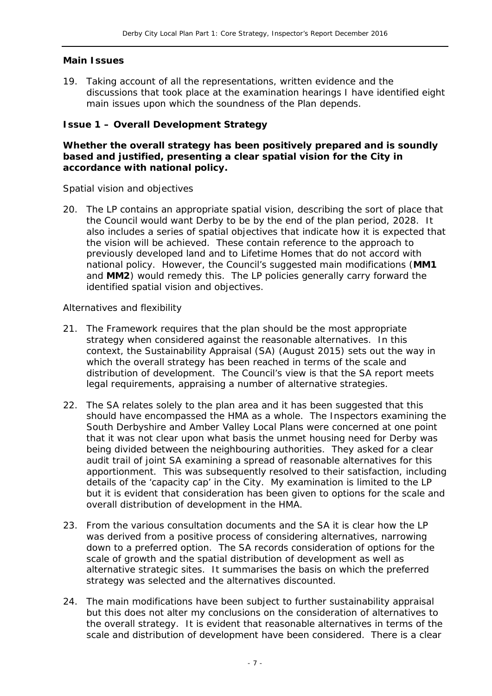#### **Main Issues**

19. Taking account of all the representations, written evidence and the discussions that took place at the examination hearings I have identified eight main issues upon which the soundness of the Plan depends.

#### **Issue 1 – Overall Development Strategy**

#### **Whether the overall strategy has been positively prepared and is soundly based and justified, presenting a clear spatial vision for the City in accordance with national policy.**

#### *Spatial vision and objectives*

20. The LP contains an appropriate spatial vision, describing the sort of place that the Council would want Derby to be by the end of the plan period, 2028. It also includes a series of spatial objectives that indicate how it is expected that the vision will be achieved. These contain reference to the approach to previously developed land and to Lifetime Homes that do not accord with national policy. However, the Council's suggested main modifications (**MM1** and **MM2**) would remedy this. The LP policies generally carry forward the identified spatial vision and objectives.

#### *Alternatives and flexibility*

- 21. The Framework requires that the plan should be the most appropriate strategy when considered against the reasonable alternatives. In this context, the Sustainability Appraisal (SA) (August 2015) sets out the way in which the overall strategy has been reached in terms of the scale and distribution of development. The Council's view is that the SA report meets legal requirements, appraising a number of alternative strategies.
- 22. The SA relates solely to the plan area and it has been suggested that this should have encompassed the HMA as a whole. The Inspectors examining the South Derbyshire and Amber Valley Local Plans were concerned at one point that it was not clear upon what basis the unmet housing need for Derby was being divided between the neighbouring authorities. They asked for a clear audit trail of joint SA examining a spread of reasonable alternatives for this apportionment. This was subsequently resolved to their satisfaction, including details of the 'capacity cap' in the City. My examination is limited to the LP but it is evident that consideration has been given to options for the scale and overall distribution of development in the HMA.
- 23. From the various consultation documents and the SA it is clear how the LP was derived from a positive process of considering alternatives, narrowing down to a preferred option. The SA records consideration of options for the scale of growth and the spatial distribution of development as well as alternative strategic sites. It summarises the basis on which the preferred strategy was selected and the alternatives discounted.
- 24. The main modifications have been subject to further sustainability appraisal but this does not alter my conclusions on the consideration of alternatives to the overall strategy. It is evident that reasonable alternatives in terms of the scale and distribution of development have been considered. There is a clear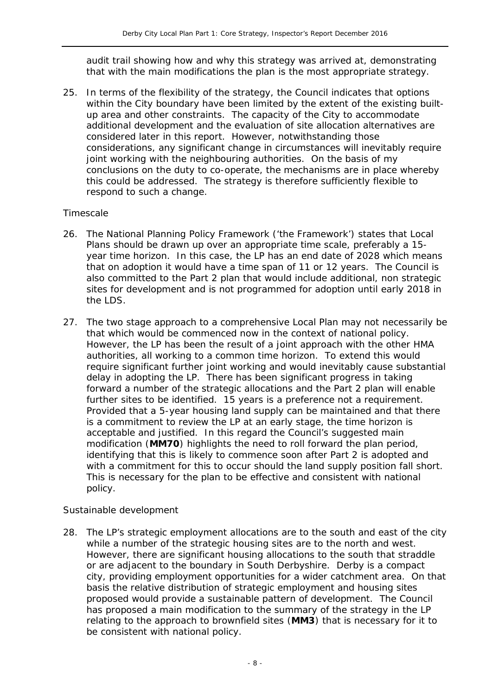audit trail showing how and why this strategy was arrived at, demonstrating that with the main modifications the plan is the most appropriate strategy.

25. In terms of the flexibility of the strategy, the Council indicates that options within the City boundary have been limited by the extent of the existing builtup area and other constraints. The capacity of the City to accommodate additional development and the evaluation of site allocation alternatives are considered later in this report. However, notwithstanding those considerations, any significant change in circumstances will inevitably require joint working with the neighbouring authorities. On the basis of my conclusions on the duty to co-operate, the mechanisms are in place whereby this could be addressed. The strategy is therefore sufficiently flexible to respond to such a change.

#### *Timescale*

- 26. The National Planning Policy Framework ('the Framework') states that Local Plans should be drawn up over an appropriate time scale, preferably a 15 year time horizon. In this case, the LP has an end date of 2028 which means that on adoption it would have a time span of 11 or 12 years. The Council is also committed to the Part 2 plan that would include additional, non strategic sites for development and is not programmed for adoption until early 2018 in the LDS.
- 27. The two stage approach to a comprehensive Local Plan may not necessarily be that which would be commenced now in the context of national policy. However, the LP has been the result of a joint approach with the other HMA authorities, all working to a common time horizon. To extend this would require significant further joint working and would inevitably cause substantial delay in adopting the LP. There has been significant progress in taking forward a number of the strategic allocations and the Part 2 plan will enable further sites to be identified. 15 years is a preference not a requirement. Provided that a 5-year housing land supply can be maintained and that there is a commitment to review the LP at an early stage, the time horizon is acceptable and justified. In this regard the Council's suggested main modification (**MM70**) highlights the need to roll forward the plan period, identifying that this is likely to commence soon after Part 2 is adopted and with a commitment for this to occur should the land supply position fall short. This is necessary for the plan to be effective and consistent with national policy.

#### *Sustainable development*

28. The LP's strategic employment allocations are to the south and east of the city while a number of the strategic housing sites are to the north and west. However, there are significant housing allocations to the south that straddle or are adjacent to the boundary in South Derbyshire. Derby is a compact city, providing employment opportunities for a wider catchment area. On that basis the relative distribution of strategic employment and housing sites proposed would provide a sustainable pattern of development. The Council has proposed a main modification to the summary of the strategy in the LP relating to the approach to brownfield sites (**MM3**) that is necessary for it to be consistent with national policy.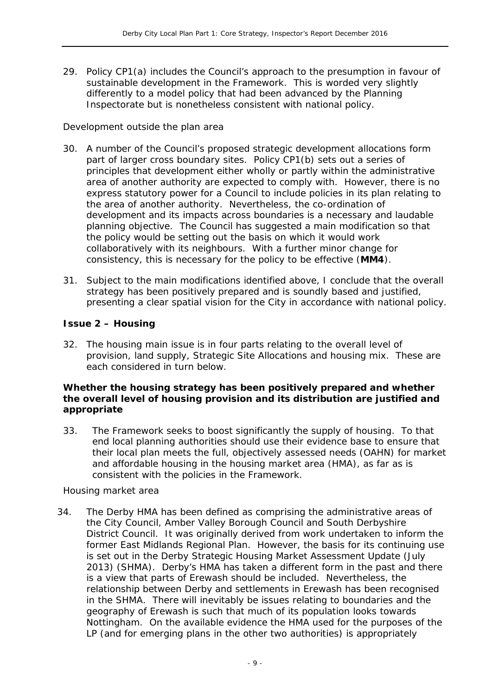29. Policy CP1(a) includes the Council's approach to the presumption in favour of sustainable development in the Framework. This is worded very slightly differently to a model policy that had been advanced by the Planning Inspectorate but is nonetheless consistent with national policy.

#### *Development outside the plan area*

- 30. A number of the Council's proposed strategic development allocations form part of larger cross boundary sites. Policy CP1(b) sets out a series of principles that development either wholly or partly within the administrative area of another authority are expected to comply with. However, there is no express statutory power for a Council to include policies in its plan relating to the area of another authority. Nevertheless, the co-ordination of development and its impacts across boundaries is a necessary and laudable planning objective. The Council has suggested a main modification so that the policy would be setting out the basis on which it would work collaboratively with its neighbours. With a further minor change for consistency, this is necessary for the policy to be effective (**MM4**).
- 31. Subject to the main modifications identified above, I conclude that the overall strategy has been positively prepared and is soundly based and justified, presenting a clear spatial vision for the City in accordance with national policy.

#### **Issue 2 – Housing**

32. The housing main issue is in four parts relating to the overall level of provision, land supply, Strategic Site Allocations and housing mix. These are each considered in turn below.

#### **Whether the housing strategy has been positively prepared and whether the overall level of housing provision and its distribution are justified and appropriate**

33. The Framework seeks to boost significantly the supply of housing. To that end local planning authorities should use their evidence base to ensure that their local plan meets the full, objectively assessed needs (OAHN) for market and affordable housing in the housing market area (HMA), as far as is consistent with the policies in the Framework.

#### *Housing market area*

34. The Derby HMA has been defined as comprising the administrative areas of the City Council, Amber Valley Borough Council and South Derbyshire District Council. It was originally derived from work undertaken to inform the former East Midlands Regional Plan. However, the basis for its continuing use is set out in the Derby Strategic Housing Market Assessment Update (July 2013) (SHMA). Derby's HMA has taken a different form in the past and there is a view that parts of Erewash should be included. Nevertheless, the relationship between Derby and settlements in Erewash has been recognised in the SHMA. There will inevitably be issues relating to boundaries and the geography of Erewash is such that much of its population looks towards Nottingham. On the available evidence the HMA used for the purposes of the LP (and for emerging plans in the other two authorities) is appropriately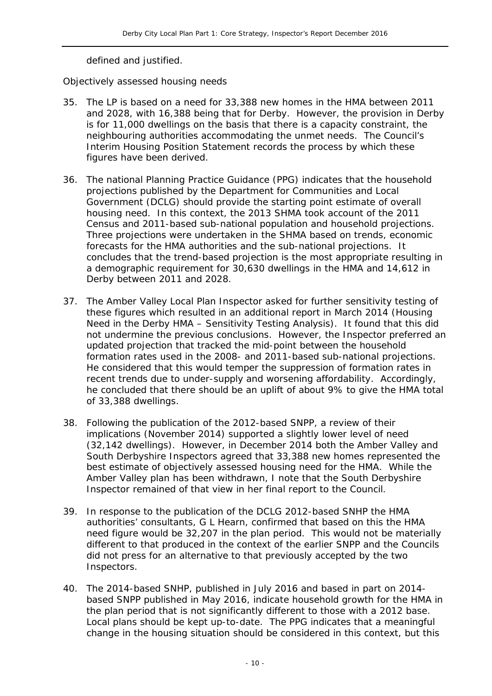defined and justified.

#### *Objectively assessed housing needs*

- 35. The LP is based on a need for 33,388 new homes in the HMA between 2011 and 2028, with 16,388 being that for Derby. However, the provision in Derby is for 11,000 dwellings on the basis that there is a capacity constraint, the neighbouring authorities accommodating the unmet needs. The Council's Interim Housing Position Statement records the process by which these figures have been derived.
- 36. The national Planning Practice Guidance (PPG) indicates that the household projections published by the Department for Communities and Local Government (DCLG) should provide the starting point estimate of overall housing need. In this context, the 2013 SHMA took account of the 2011 Census and 2011-based sub-national population and household projections. Three projections were undertaken in the SHMA based on trends, economic forecasts for the HMA authorities and the sub-national projections. It concludes that the trend-based projection is the most appropriate resulting in a demographic requirement for 30,630 dwellings in the HMA and 14,612 in Derby between 2011 and 2028.
- 37. The Amber Valley Local Plan Inspector asked for further sensitivity testing of these figures which resulted in an additional report in March 2014 (Housing Need in the Derby HMA – Sensitivity Testing Analysis). It found that this did not undermine the previous conclusions. However, the Inspector preferred an updated projection that tracked the mid-point between the household formation rates used in the 2008- and 2011-based sub-national projections. He considered that this would temper the suppression of formation rates in recent trends due to under-supply and worsening affordability. Accordingly, he concluded that there should be an uplift of about 9% to give the HMA total of 33,388 dwellings.
- 38. Following the publication of the 2012-based SNPP, a review of their implications (November 2014) supported a slightly lower level of need (32,142 dwellings). However, in December 2014 both the Amber Valley and South Derbyshire Inspectors agreed that 33,388 new homes represented the best estimate of objectively assessed housing need for the HMA. While the Amber Valley plan has been withdrawn, I note that the South Derbyshire Inspector remained of that view in her final report to the Council.
- 39. In response to the publication of the DCLG 2012-based SNHP the HMA authorities' consultants, G L Hearn, confirmed that based on this the HMA need figure would be 32,207 in the plan period. This would not be materially different to that produced in the context of the earlier SNPP and the Councils did not press for an alternative to that previously accepted by the two Inspectors.
- 40. The 2014-based SNHP, published in July 2016 and based in part on 2014 based SNPP published in May 2016, indicate household growth for the HMA in the plan period that is not significantly different to those with a 2012 base. Local plans should be kept up-to-date. The PPG indicates that a meaningful change in the housing situation should be considered in this context, but this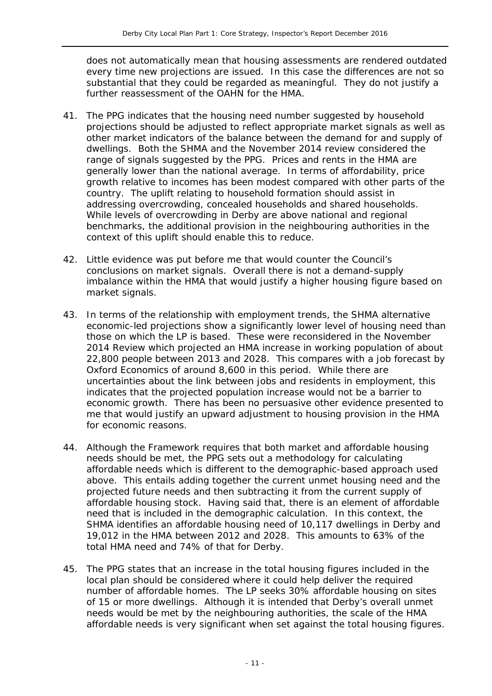does not automatically mean that housing assessments are rendered outdated every time new projections are issued. In this case the differences are not so substantial that they could be regarded as meaningful. They do not justify a further reassessment of the OAHN for the HMA.

- 41. The PPG indicates that the housing need number suggested by household projections should be adjusted to reflect appropriate market signals as well as other market indicators of the balance between the demand for and supply of dwellings. Both the SHMA and the November 2014 review considered the range of signals suggested by the PPG. Prices and rents in the HMA are generally lower than the national average. In terms of affordability, price growth relative to incomes has been modest compared with other parts of the country. The uplift relating to household formation should assist in addressing overcrowding, concealed households and shared households. While levels of overcrowding in Derby are above national and regional benchmarks, the additional provision in the neighbouring authorities in the context of this uplift should enable this to reduce.
- 42. Little evidence was put before me that would counter the Council's conclusions on market signals. Overall there is not a demand-supply imbalance within the HMA that would justify a higher housing figure based on market signals.
- 43. In terms of the relationship with employment trends, the SHMA alternative economic-led projections show a significantly lower level of housing need than those on which the LP is based. These were reconsidered in the November 2014 Review which projected an HMA increase in working population of about 22,800 people between 2013 and 2028. This compares with a job forecast by Oxford Economics of around 8,600 in this period. While there are uncertainties about the link between jobs and residents in employment, this indicates that the projected population increase would not be a barrier to economic growth. There has been no persuasive other evidence presented to me that would justify an upward adjustment to housing provision in the HMA for economic reasons.
- 44. Although the Framework requires that both market and affordable housing needs should be met, the PPG sets out a methodology for calculating affordable needs which is different to the demographic-based approach used above. This entails adding together the current unmet housing need and the projected future needs and then subtracting it from the current supply of affordable housing stock. Having said that, there is an element of affordable need that is included in the demographic calculation. In this context, the SHMA identifies an affordable housing need of 10,117 dwellings in Derby and 19,012 in the HMA between 2012 and 2028. This amounts to 63% of the total HMA need and 74% of that for Derby.
- 45. The PPG states that an increase in the total housing figures included in the local plan should be considered where it could help deliver the required number of affordable homes. The LP seeks 30% affordable housing on sites of 15 or more dwellings. Although it is intended that Derby's overall unmet needs would be met by the neighbouring authorities, the scale of the HMA affordable needs is very significant when set against the total housing figures.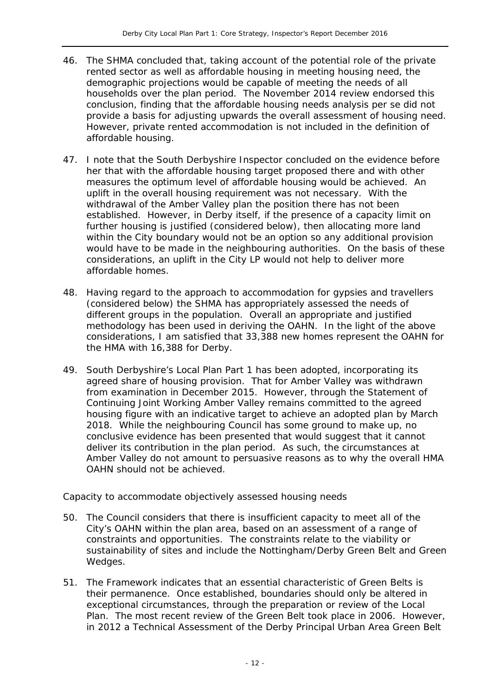- 46. The SHMA concluded that, taking account of the potential role of the private rented sector as well as affordable housing in meeting housing need, the demographic projections would be capable of meeting the needs of all households over the plan period. The November 2014 review endorsed this conclusion, finding that the affordable housing needs analysis per se did not provide a basis for adjusting upwards the overall assessment of housing need. However, private rented accommodation is not included in the definition of affordable housing.
- 47. I note that the South Derbyshire Inspector concluded on the evidence before her that with the affordable housing target proposed there and with other measures the optimum level of affordable housing would be achieved. An uplift in the overall housing requirement was not necessary. With the withdrawal of the Amber Valley plan the position there has not been established. However, in Derby itself, if the presence of a capacity limit on further housing is justified (considered below), then allocating more land within the City boundary would not be an option so any additional provision would have to be made in the neighbouring authorities. On the basis of these considerations, an uplift in the City LP would not help to deliver more affordable homes.
- 48. Having regard to the approach to accommodation for gypsies and travellers (considered below) the SHMA has appropriately assessed the needs of different groups in the population. Overall an appropriate and justified methodology has been used in deriving the OAHN. In the light of the above considerations, I am satisfied that 33,388 new homes represent the OAHN for the HMA with 16,388 for Derby.
- 49. South Derbyshire's Local Plan Part 1 has been adopted, incorporating its agreed share of housing provision. That for Amber Valley was withdrawn from examination in December 2015. However, through the Statement of Continuing Joint Working Amber Valley remains committed to the agreed housing figure with an indicative target to achieve an adopted plan by March 2018. While the neighbouring Council has some ground to make up, no conclusive evidence has been presented that would suggest that it cannot deliver its contribution in the plan period. As such, the circumstances at Amber Valley do not amount to persuasive reasons as to why the overall HMA OAHN should not be achieved.

#### *Capacity to accommodate objectively assessed housing needs*

- 50. The Council considers that there is insufficient capacity to meet all of the City's OAHN within the plan area, based on an assessment of a range of constraints and opportunities. The constraints relate to the viability or sustainability of sites and include the Nottingham/Derby Green Belt and Green Wedges.
- 51. The Framework indicates that an essential characteristic of Green Belts is their permanence. Once established, boundaries should only be altered in exceptional circumstances, through the preparation or review of the Local Plan. The most recent review of the Green Belt took place in 2006. However, in 2012 a Technical Assessment of the Derby Principal Urban Area Green Belt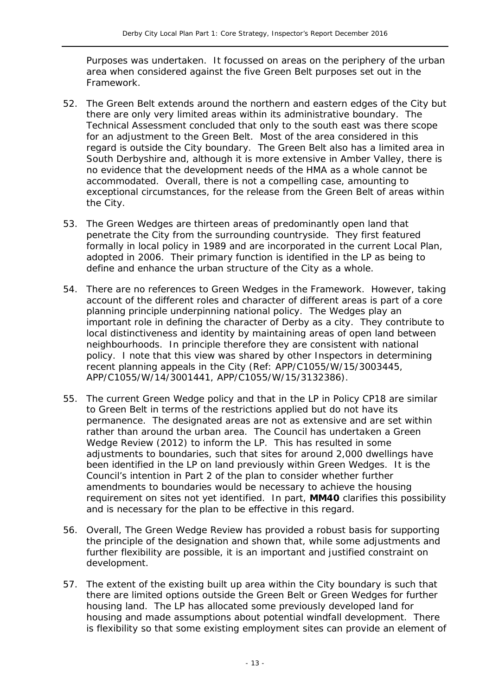Purposes was undertaken. It focussed on areas on the periphery of the urban area when considered against the five Green Belt purposes set out in the Framework.

- 52. The Green Belt extends around the northern and eastern edges of the City but there are only very limited areas within its administrative boundary. The Technical Assessment concluded that only to the south east was there scope for an adjustment to the Green Belt. Most of the area considered in this regard is outside the City boundary. The Green Belt also has a limited area in South Derbyshire and, although it is more extensive in Amber Valley, there is no evidence that the development needs of the HMA as a whole cannot be accommodated. Overall, there is not a compelling case, amounting to exceptional circumstances, for the release from the Green Belt of areas within the City.
- 53. The Green Wedges are thirteen areas of predominantly open land that penetrate the City from the surrounding countryside. They first featured formally in local policy in 1989 and are incorporated in the current Local Plan, adopted in 2006. Their primary function is identified in the LP as being to define and enhance the urban structure of the City as a whole.
- 54. There are no references to Green Wedges in the Framework. However, taking account of the different roles and character of different areas is part of a core planning principle underpinning national policy. The Wedges play an important role in defining the character of Derby as a city. They contribute to local distinctiveness and identity by maintaining areas of open land between neighbourhoods. In principle therefore they are consistent with national policy. I note that this view was shared by other Inspectors in determining recent planning appeals in the City (Ref: APP/C1055/W/15/3003445, APP/C1055/W/14/3001441, APP/C1055/W/15/3132386).
- 55. The current Green Wedge policy and that in the LP in Policy CP18 are similar to Green Belt in terms of the restrictions applied but do not have its permanence. The designated areas are not as extensive and are set within rather than around the urban area. The Council has undertaken a Green Wedge Review (2012) to inform the LP. This has resulted in some adjustments to boundaries, such that sites for around 2,000 dwellings have been identified in the LP on land previously within Green Wedges. It is the Council's intention in Part 2 of the plan to consider whether further amendments to boundaries would be necessary to achieve the housing requirement on sites not yet identified. In part, **MM40** clarifies this possibility and is necessary for the plan to be effective in this regard.
- 56. Overall, The Green Wedge Review has provided a robust basis for supporting the principle of the designation and shown that, while some adjustments and further flexibility are possible, it is an important and justified constraint on development.
- 57. The extent of the existing built up area within the City boundary is such that there are limited options outside the Green Belt or Green Wedges for further housing land. The LP has allocated some previously developed land for housing and made assumptions about potential windfall development. There is flexibility so that some existing employment sites can provide an element of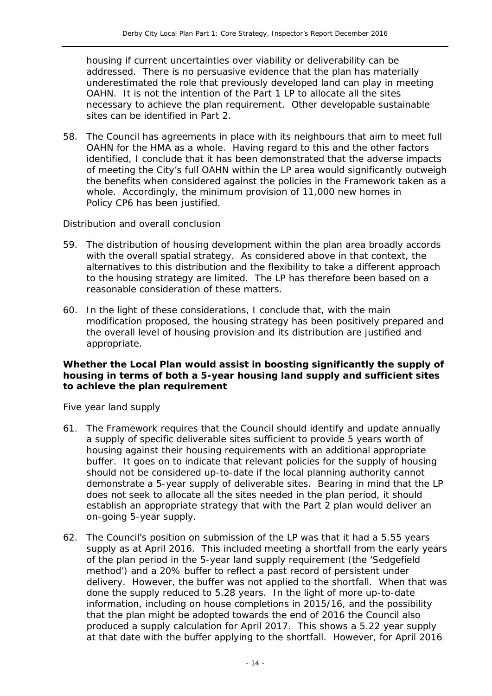housing if current uncertainties over viability or deliverability can be addressed. There is no persuasive evidence that the plan has materially underestimated the role that previously developed land can play in meeting OAHN. It is not the intention of the Part 1 LP to allocate all the sites necessary to achieve the plan requirement. Other developable sustainable sites can be identified in Part 2.

58. The Council has agreements in place with its neighbours that aim to meet full OAHN for the HMA as a whole. Having regard to this and the other factors identified, I conclude that it has been demonstrated that the adverse impacts of meeting the City's full OAHN within the LP area would significantly outweigh the benefits when considered against the policies in the Framework taken as a whole. Accordingly, the minimum provision of 11,000 new homes in Policy CP6 has been justified.

#### *Distribution and overall conclusion*

- 59. The distribution of housing development within the plan area broadly accords with the overall spatial strategy. As considered above in that context, the alternatives to this distribution and the flexibility to take a different approach to the housing strategy are limited. The LP has therefore been based on a reasonable consideration of these matters.
- 60. In the light of these considerations, I conclude that, with the main modification proposed, the housing strategy has been positively prepared and the overall level of housing provision and its distribution are justified and appropriate.

#### **Whether the Local Plan would assist in boosting significantly the supply of housing in terms of both a 5-year housing land supply and sufficient sites to achieve the plan requirement**

#### *Five year land supply*

- 61. The Framework requires that the Council should identify and update annually a supply of specific deliverable sites sufficient to provide 5 years worth of housing against their housing requirements with an additional appropriate buffer. It goes on to indicate that relevant policies for the supply of housing should not be considered up-to-date if the local planning authority cannot demonstrate a 5-year supply of deliverable sites. Bearing in mind that the LP does not seek to allocate all the sites needed in the plan period, it should establish an appropriate strategy that with the Part 2 plan would deliver an on-going 5-year supply.
- 62. The Council's position on submission of the LP was that it had a 5.55 years supply as at April 2016. This included meeting a shortfall from the early years of the plan period in the 5-year land supply requirement (the 'Sedgefield method') and a 20% buffer to reflect a past record of persistent under delivery. However, the buffer was not applied to the shortfall. When that was done the supply reduced to 5.28 years. In the light of more up-to-date information, including on house completions in 2015/16, and the possibility that the plan might be adopted towards the end of 2016 the Council also produced a supply calculation for April 2017. This shows a 5.22 year supply at that date with the buffer applying to the shortfall. However, for April 2016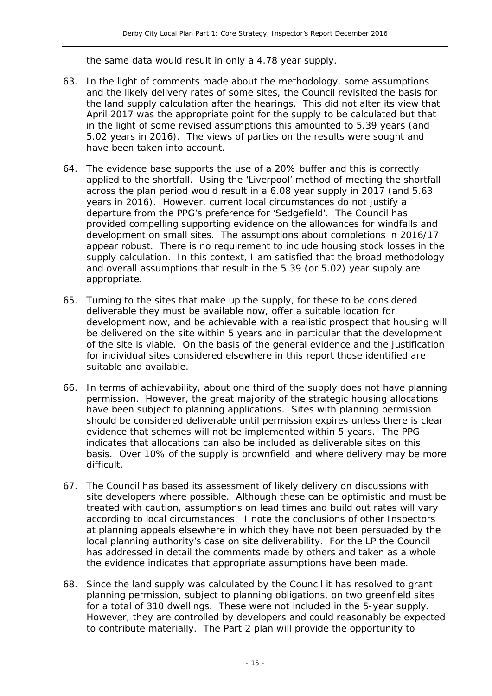the same data would result in only a 4.78 year supply.

- 63. In the light of comments made about the methodology, some assumptions and the likely delivery rates of some sites, the Council revisited the basis for the land supply calculation after the hearings. This did not alter its view that April 2017 was the appropriate point for the supply to be calculated but that in the light of some revised assumptions this amounted to 5.39 years (and 5.02 years in 2016). The views of parties on the results were sought and have been taken into account.
- 64. The evidence base supports the use of a 20% buffer and this is correctly applied to the shortfall. Using the 'Liverpool' method of meeting the shortfall across the plan period would result in a 6.08 year supply in 2017 (and 5.63 years in 2016). However, current local circumstances do not justify a departure from the PPG's preference for 'Sedgefield'. The Council has provided compelling supporting evidence on the allowances for windfalls and development on small sites. The assumptions about completions in 2016/17 appear robust. There is no requirement to include housing stock losses in the supply calculation. In this context, I am satisfied that the broad methodology and overall assumptions that result in the 5.39 (or 5.02) year supply are appropriate.
- 65. Turning to the sites that make up the supply, for these to be considered deliverable they must be available now, offer a suitable location for development now, and be achievable with a realistic prospect that housing will be delivered on the site within 5 years and in particular that the development of the site is viable. On the basis of the general evidence and the justification for individual sites considered elsewhere in this report those identified are suitable and available.
- 66. In terms of achievability, about one third of the supply does not have planning permission. However, the great majority of the strategic housing allocations have been subject to planning applications. Sites with planning permission should be considered deliverable until permission expires unless there is clear evidence that schemes will not be implemented within 5 years. The PPG indicates that allocations can also be included as deliverable sites on this basis. Over 10% of the supply is brownfield land where delivery may be more difficult.
- 67. The Council has based its assessment of likely delivery on discussions with site developers where possible. Although these can be optimistic and must be treated with caution, assumptions on lead times and build out rates will vary according to local circumstances. I note the conclusions of other Inspectors at planning appeals elsewhere in which they have not been persuaded by the local planning authority's case on site deliverability. For the LP the Council has addressed in detail the comments made by others and taken as a whole the evidence indicates that appropriate assumptions have been made.
- 68. Since the land supply was calculated by the Council it has resolved to grant planning permission, subject to planning obligations, on two greenfield sites for a total of 310 dwellings. These were not included in the 5-year supply. However, they are controlled by developers and could reasonably be expected to contribute materially. The Part 2 plan will provide the opportunity to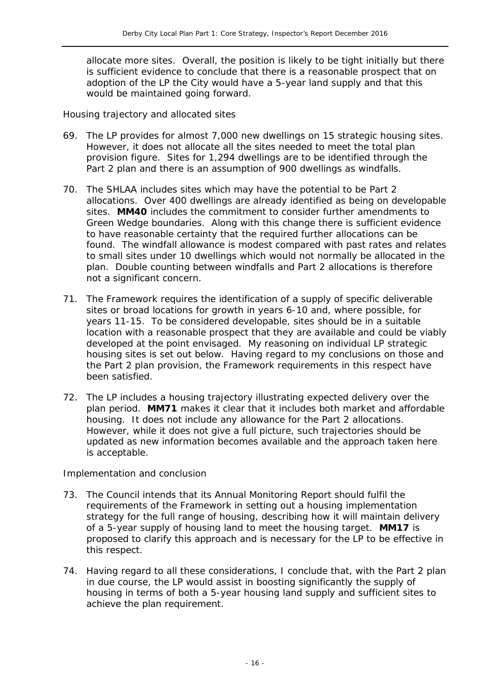allocate more sites. Overall, the position is likely to be tight initially but there is sufficient evidence to conclude that there is a reasonable prospect that on adoption of the LP the City would have a 5-year land supply and that this would be maintained going forward.

#### *Housing trajectory and allocated sites*

- 69. The LP provides for almost 7,000 new dwellings on 15 strategic housing sites. However, it does not allocate all the sites needed to meet the total plan provision figure. Sites for 1,294 dwellings are to be identified through the Part 2 plan and there is an assumption of 900 dwellings as windfalls.
- 70. The SHLAA includes sites which may have the potential to be Part 2 allocations. Over 400 dwellings are already identified as being on developable sites. **MM40** includes the commitment to consider further amendments to Green Wedge boundaries. Along with this change there is sufficient evidence to have reasonable certainty that the required further allocations can be found. The windfall allowance is modest compared with past rates and relates to small sites under 10 dwellings which would not normally be allocated in the plan. Double counting between windfalls and Part 2 allocations is therefore not a significant concern.
- 71. The Framework requires the identification of a supply of specific deliverable sites or broad locations for growth in years 6-10 and, where possible, for years 11-15. To be considered developable, sites should be in a suitable location with a reasonable prospect that they are available and could be viably developed at the point envisaged. My reasoning on individual LP strategic housing sites is set out below. Having regard to my conclusions on those and the Part 2 plan provision, the Framework requirements in this respect have been satisfied.
- 72. The LP includes a housing trajectory illustrating expected delivery over the plan period. **MM71** makes it clear that it includes both market and affordable housing. It does not include any allowance for the Part 2 allocations. However, while it does not give a full picture, such trajectories should be updated as new information becomes available and the approach taken here is acceptable.

#### *Implementation and conclusion*

- 73. The Council intends that its Annual Monitoring Report should fulfil the requirements of the Framework in setting out a housing implementation strategy for the full range of housing, describing how it will maintain delivery of a 5-year supply of housing land to meet the housing target. **MM17** is proposed to clarify this approach and is necessary for the LP to be effective in this respect.
- 74. Having regard to all these considerations, I conclude that, with the Part 2 plan in due course, the LP would assist in boosting significantly the supply of housing in terms of both a 5-year housing land supply and sufficient sites to achieve the plan requirement.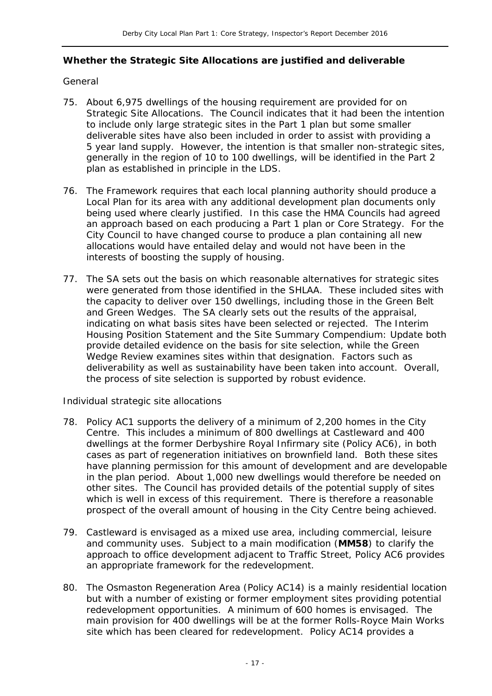#### **Whether the Strategic Site Allocations are justified and deliverable**

#### *General*

- 75. About 6,975 dwellings of the housing requirement are provided for on Strategic Site Allocations. The Council indicates that it had been the intention to include only large strategic sites in the Part 1 plan but some smaller deliverable sites have also been included in order to assist with providing a 5 year land supply. However, the intention is that smaller non-strategic sites, generally in the region of 10 to 100 dwellings, will be identified in the Part 2 plan as established in principle in the LDS.
- 76. The Framework requires that each local planning authority should produce a Local Plan for its area with any additional development plan documents only being used where clearly justified. In this case the HMA Councils had agreed an approach based on each producing a Part 1 plan or Core Strategy. For the City Council to have changed course to produce a plan containing all new allocations would have entailed delay and would not have been in the interests of boosting the supply of housing.
- 77. The SA sets out the basis on which reasonable alternatives for strategic sites were generated from those identified in the SHLAA. These included sites with the capacity to deliver over 150 dwellings, including those in the Green Belt and Green Wedges. The SA clearly sets out the results of the appraisal, indicating on what basis sites have been selected or rejected. The Interim Housing Position Statement and the Site Summary Compendium: Update both provide detailed evidence on the basis for site selection, while the Green Wedge Review examines sites within that designation. Factors such as deliverability as well as sustainability have been taken into account. Overall, the process of site selection is supported by robust evidence.

#### *Individual strategic site allocations*

- 78. Policy AC1 supports the delivery of a minimum of 2,200 homes in the *City Centre*. This includes a minimum of 800 dwellings at *Castleward* and 400 dwellings at the *former Derbyshire Royal Infirmary site* (Policy AC6), in both cases as part of regeneration initiatives on brownfield land. Both these sites have planning permission for this amount of development and are developable in the plan period. About 1,000 new dwellings would therefore be needed on other sites. The Council has provided details of the potential supply of sites which is well in excess of this requirement. There is therefore a reasonable prospect of the overall amount of housing in the City Centre being achieved.
- 79. *Castleward* is envisaged as a mixed use area, including commercial, leisure and community uses. Subject to a main modification (**MM58**) to clarify the approach to office development adjacent to Traffic Street, Policy AC6 provides an appropriate framework for the redevelopment.
- 80. The *Osmaston Regeneration Area* (Policy AC14) is a mainly residential location but with a number of existing or former employment sites providing potential redevelopment opportunities. A minimum of 600 homes is envisaged. The main provision for 400 dwellings will be at the former Rolls-Royce Main Works site which has been cleared for redevelopment. Policy AC14 provides a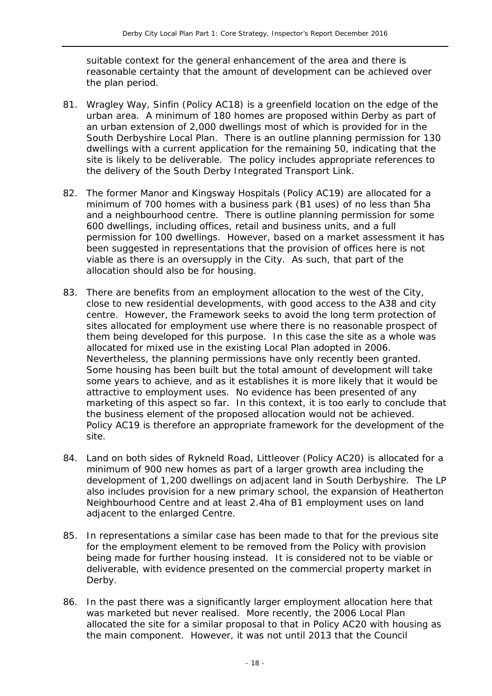suitable context for the general enhancement of the area and there is reasonable certainty that the amount of development can be achieved over the plan period.

- 81. *Wragley Way, Sinfin* (Policy AC18) is a greenfield location on the edge of the urban area. A minimum of 180 homes are proposed within Derby as part of an urban extension of 2,000 dwellings most of which is provided for in the South Derbyshire Local Plan. There is an outline planning permission for 130 dwellings with a current application for the remaining 50, indicating that the site is likely to be deliverable. The policy includes appropriate references to the delivery of the South Derby Integrated Transport Link.
- 82. The *former Manor and Kingsway Hospitals* (Policy AC19) are allocated for a minimum of 700 homes with a business park (B1 uses) of no less than 5ha and a neighbourhood centre. There is outline planning permission for some 600 dwellings, including offices, retail and business units, and a full permission for 100 dwellings. However, based on a market assessment it has been suggested in representations that the provision of offices here is not viable as there is an oversupply in the City. As such, that part of the allocation should also be for housing.
- 83. There are benefits from an employment allocation to the west of the City, close to new residential developments, with good access to the A38 and city centre. However, the Framework seeks to avoid the long term protection of sites allocated for employment use where there is no reasonable prospect of them being developed for this purpose. In this case the site as a whole was allocated for mixed use in the existing Local Plan adopted in 2006. Nevertheless, the planning permissions have only recently been granted. Some housing has been built but the total amount of development will take some years to achieve, and as it establishes it is more likely that it would be attractive to employment uses. No evidence has been presented of any marketing of this aspect so far. In this context, it is too early to conclude that the business element of the proposed allocation would not be achieved. Policy AC19 is therefore an appropriate framework for the development of the site.
- 84. Land on both sides of *Rykneld Road, Littleover* (Policy AC20) is allocated for a minimum of 900 new homes as part of a larger growth area including the development of 1,200 dwellings on adjacent land in South Derbyshire. The LP also includes provision for a new primary school, the expansion of Heatherton Neighbourhood Centre and at least 2.4ha of B1 employment uses on land adjacent to the enlarged Centre.
- 85. In representations a similar case has been made to that for the previous site for the employment element to be removed from the Policy with provision being made for further housing instead. It is considered not to be viable or deliverable, with evidence presented on the commercial property market in Derby.
- 86. In the past there was a significantly larger employment allocation here that was marketed but never realised. More recently, the 2006 Local Plan allocated the site for a similar proposal to that in Policy AC20 with housing as the main component. However, it was not until 2013 that the Council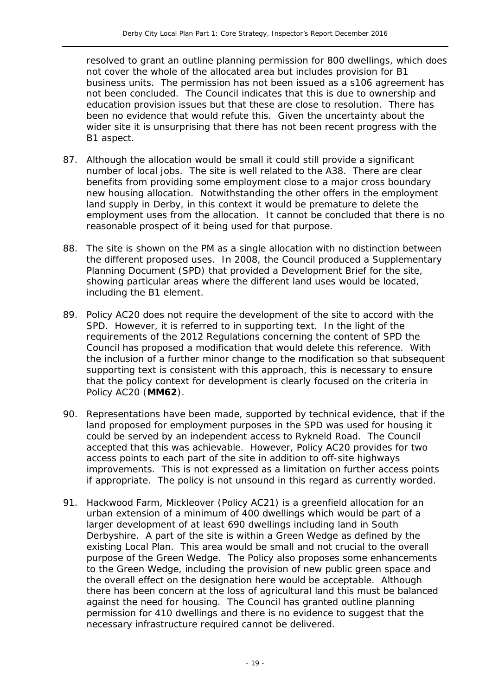resolved to grant an outline planning permission for 800 dwellings, which does not cover the whole of the allocated area but includes provision for B1 business units. The permission has not been issued as a s106 agreement has not been concluded. The Council indicates that this is due to ownership and education provision issues but that these are close to resolution. There has been no evidence that would refute this. Given the uncertainty about the wider site it is unsurprising that there has not been recent progress with the B1 aspect.

- 87. Although the allocation would be small it could still provide a significant number of local jobs. The site is well related to the A38. There are clear benefits from providing some employment close to a major cross boundary new housing allocation. Notwithstanding the other offers in the employment land supply in Derby, in this context it would be premature to delete the employment uses from the allocation. It cannot be concluded that there is no reasonable prospect of it being used for that purpose.
- 88. The site is shown on the PM as a single allocation with no distinction between the different proposed uses. In 2008, the Council produced a Supplementary Planning Document (SPD) that provided a Development Brief for the site, showing particular areas where the different land uses would be located, including the B1 element.
- 89. Policy AC20 does not require the development of the site to accord with the SPD. However, it is referred to in supporting text. In the light of the requirements of the 2012 Regulations concerning the content of SPD the Council has proposed a modification that would delete this reference. With the inclusion of a further minor change to the modification so that subsequent supporting text is consistent with this approach, this is necessary to ensure that the policy context for development is clearly focused on the criteria in Policy AC20 (**MM62**).
- 90. Representations have been made, supported by technical evidence, that if the land proposed for employment purposes in the SPD was used for housing it could be served by an independent access to Rykneld Road. The Council accepted that this was achievable. However, Policy AC20 provides for two access points to each part of the site in addition to off-site highways improvements. This is not expressed as a limitation on further access points if appropriate. The policy is not unsound in this regard as currently worded.
- 91. *Hackwood Farm, Mickleover* (Policy AC21) is a greenfield allocation for an urban extension of a minimum of 400 dwellings which would be part of a larger development of at least 690 dwellings including land in South Derbyshire. A part of the site is within a Green Wedge as defined by the existing Local Plan. This area would be small and not crucial to the overall purpose of the Green Wedge. The Policy also proposes some enhancements to the Green Wedge, including the provision of new public green space and the overall effect on the designation here would be acceptable. Although there has been concern at the loss of agricultural land this must be balanced against the need for housing. The Council has granted outline planning permission for 410 dwellings and there is no evidence to suggest that the necessary infrastructure required cannot be delivered.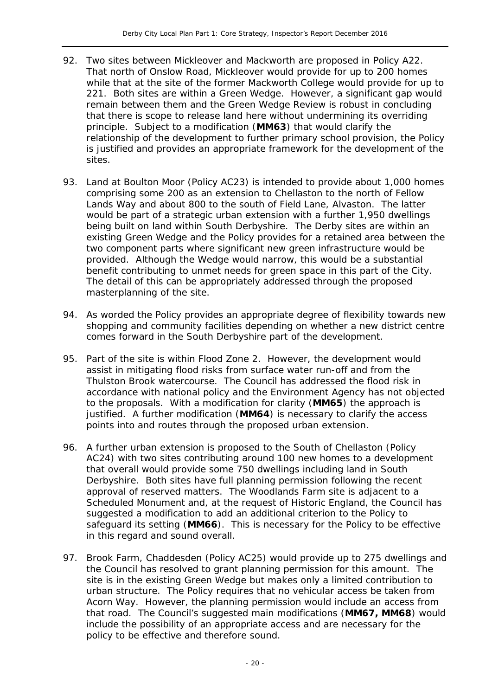- 92. Two sites between Mickleover and Mackworth are proposed in Policy A22. That north of *Onslow Road, Mickleover* would provide for up to 200 homes while that at the site of the former *Mackworth College* would provide for up to 221. Both sites are within a Green Wedge. However, a significant gap would remain between them and the Green Wedge Review is robust in concluding that there is scope to release land here without undermining its overriding principle. Subject to a modification (**MM63**) that would clarify the relationship of the development to further primary school provision, the Policy is justified and provides an appropriate framework for the development of the sites.
- 93. *Land at Boulton Moor* (Policy AC23) is intended to provide about 1,000 homes comprising some 200 as an extension to Chellaston to the north of Fellow Lands Way and about 800 to the south of Field Lane, Alvaston. The latter would be part of a strategic urban extension with a further 1,950 dwellings being built on land within South Derbyshire. The Derby sites are within an existing Green Wedge and the Policy provides for a retained area between the two component parts where significant new green infrastructure would be provided. Although the Wedge would narrow, this would be a substantial benefit contributing to unmet needs for green space in this part of the City. The detail of this can be appropriately addressed through the proposed masterplanning of the site.
- 94. As worded the Policy provides an appropriate degree of flexibility towards new shopping and community facilities depending on whether a new district centre comes forward in the South Derbyshire part of the development.
- 95. Part of the site is within Flood Zone 2. However, the development would assist in mitigating flood risks from surface water run-off and from the Thulston Brook watercourse. The Council has addressed the flood risk in accordance with national policy and the Environment Agency has not objected to the proposals. With a modification for clarity (**MM65**) the approach is justified. A further modification (**MM64**) is necessary to clarify the access points into and routes through the proposed urban extension.
- 96. A further urban extension is proposed to the *South of Chellaston* (Policy AC24) with two sites contributing around 100 new homes to a development that overall would provide some 750 dwellings including land in South Derbyshire. Both sites have full planning permission following the recent approval of reserved matters. The Woodlands Farm site is adjacent to a Scheduled Monument and, at the request of Historic England, the Council has suggested a modification to add an additional criterion to the Policy to safeguard its setting (**MM66**). This is necessary for the Policy to be effective in this regard and sound overall.
- 97. *Brook Farm, Chaddesden* (Policy AC25) would provide up to 275 dwellings and the Council has resolved to grant planning permission for this amount. The site is in the existing Green Wedge but makes only a limited contribution to urban structure. The Policy requires that no vehicular access be taken from Acorn Way. However, the planning permission would include an access from that road. The Council's suggested main modifications (**MM67, MM68**) would include the possibility of an appropriate access and are necessary for the policy to be effective and therefore sound.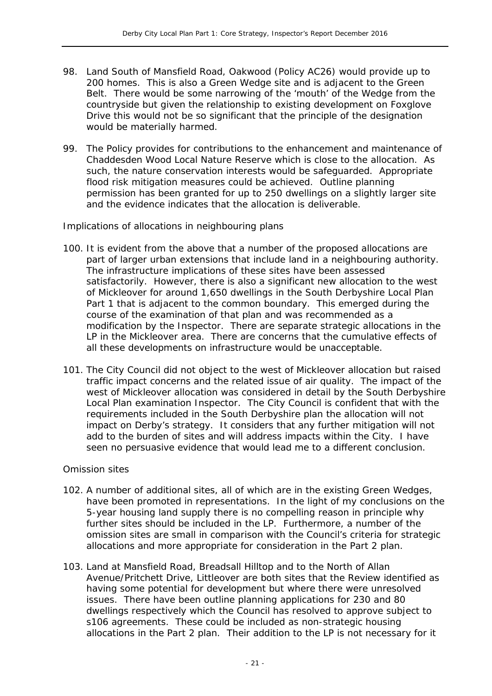- 98. *Land South of Mansfield Road, Oakwood* (Policy AC26) would provide up to 200 homes. This is also a Green Wedge site and is adjacent to the Green Belt. There would be some narrowing of the 'mouth' of the Wedge from the countryside but given the relationship to existing development on Foxglove Drive this would not be so significant that the principle of the designation would be materially harmed.
- 99. The Policy provides for contributions to the enhancement and maintenance of Chaddesden Wood Local Nature Reserve which is close to the allocation. As such, the nature conservation interests would be safeguarded. Appropriate flood risk mitigation measures could be achieved. Outline planning permission has been granted for up to 250 dwellings on a slightly larger site and the evidence indicates that the allocation is deliverable.

#### *Implications of allocations in neighbouring plans*

- 100. It is evident from the above that a number of the proposed allocations are part of larger urban extensions that include land in a neighbouring authority. The infrastructure implications of these sites have been assessed satisfactorily. However, there is also a significant new allocation to the west of Mickleover for around 1,650 dwellings in the South Derbyshire Local Plan Part 1 that is adjacent to the common boundary. This emerged during the course of the examination of that plan and was recommended as a modification by the Inspector. There are separate strategic allocations in the LP in the Mickleover area. There are concerns that the cumulative effects of all these developments on infrastructure would be unacceptable.
- 101. The City Council did not object to the west of Mickleover allocation but raised traffic impact concerns and the related issue of air quality. The impact of the west of Mickleover allocation was considered in detail by the South Derbyshire Local Plan examination Inspector. The City Council is confident that with the requirements included in the South Derbyshire plan the allocation will not impact on Derby's strategy. It considers that any further mitigation will not add to the burden of sites and will address impacts within the City. I have seen no persuasive evidence that would lead me to a different conclusion.

#### *Omission sites*

- 102. A number of additional sites, all of which are in the existing Green Wedges, have been promoted in representations. In the light of my conclusions on the 5-year housing land supply there is no compelling reason in principle why further sites should be included in the LP. Furthermore, a number of the omission sites are small in comparison with the Council's criteria for strategic allocations and more appropriate for consideration in the Part 2 plan.
- 103. *Land at Mansfield Road, Breadsall Hilltop* and to the *North of Allan Avenue/Pritchett Drive, Littleover* are both sites that the Review identified as having some potential for development but where there were unresolved issues. There have been outline planning applications for 230 and 80 dwellings respectively which the Council has resolved to approve subject to s106 agreements. These could be included as non-strategic housing allocations in the Part 2 plan. Their addition to the LP is not necessary for it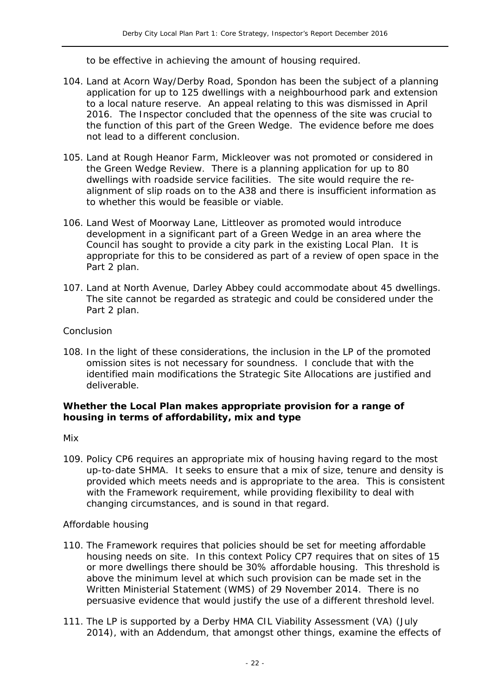to be effective in achieving the amount of housing required.

- 104. *Land at Acorn Way/Derby Road, Spondon* has been the subject of a planning application for up to 125 dwellings with a neighbourhood park and extension to a local nature reserve. An appeal relating to this was dismissed in April 2016. The Inspector concluded that the openness of the site was crucial to the function of this part of the Green Wedge. The evidence before me does not lead to a different conclusion.
- 105. *Land at Rough Heanor Farm, Mickleover* was not promoted or considered in the Green Wedge Review. There is a planning application for up to 80 dwellings with roadside service facilities. The site would require the realignment of slip roads on to the A38 and there is insufficient information as to whether this would be feasible or viable.
- 106. *Land West of Moorway Lane, Littleover* as promoted would introduce development in a significant part of a Green Wedge in an area where the Council has sought to provide a city park in the existing Local Plan. It is appropriate for this to be considered as part of a review of open space in the Part 2 plan.
- 107. *Land at North Avenue, Darley Abbey* could accommodate about 45 dwellings. The site cannot be regarded as strategic and could be considered under the Part 2 plan.

#### *Conclusion*

108. In the light of these considerations, the inclusion in the LP of the promoted omission sites is not necessary for soundness. I conclude that with the identified main modifications the Strategic Site Allocations are justified and deliverable.

#### **Whether the Local Plan makes appropriate provision for a range of housing in terms of affordability, mix and type**

#### *Mix*

109. Policy CP6 requires an appropriate mix of housing having regard to the most up-to-date SHMA. It seeks to ensure that a mix of size, tenure and density is provided which meets needs and is appropriate to the area. This is consistent with the Framework requirement, while providing flexibility to deal with changing circumstances, and is sound in that regard.

#### *Affordable housing*

- 110. The Framework requires that policies should be set for meeting affordable housing needs on site. In this context Policy CP7 requires that on sites of 15 or more dwellings there should be 30% affordable housing. This threshold is above the minimum level at which such provision can be made set in the Written Ministerial Statement (WMS) of 29 November 2014. There is no persuasive evidence that would justify the use of a different threshold level.
- 111. The LP is supported by a Derby HMA CIL Viability Assessment (VA) (July 2014), with an Addendum, that amongst other things, examine the effects of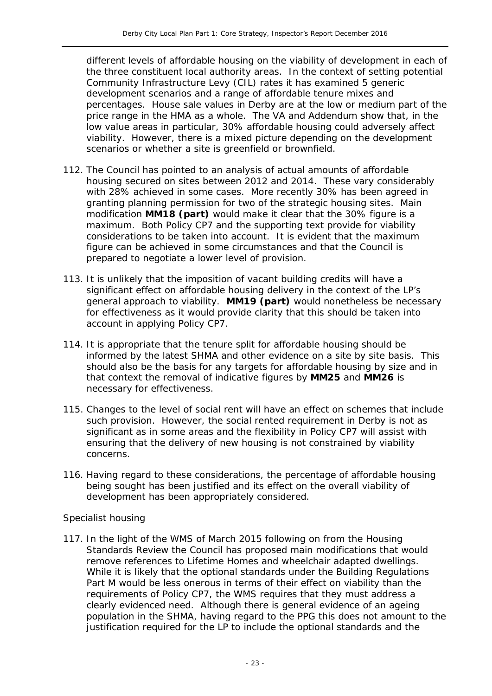different levels of affordable housing on the viability of development in each of the three constituent local authority areas. In the context of setting potential Community Infrastructure Levy (CIL) rates it has examined 5 generic development scenarios and a range of affordable tenure mixes and percentages. House sale values in Derby are at the low or medium part of the price range in the HMA as a whole. The VA and Addendum show that, in the low value areas in particular, 30% affordable housing could adversely affect viability. However, there is a mixed picture depending on the development scenarios or whether a site is greenfield or brownfield.

- 112. The Council has pointed to an analysis of actual amounts of affordable housing secured on sites between 2012 and 2014. These vary considerably with 28% achieved in some cases. More recently 30% has been agreed in granting planning permission for two of the strategic housing sites. Main modification **MM18 (part)** would make it clear that the 30% figure is a maximum. Both Policy CP7 and the supporting text provide for viability considerations to be taken into account. It is evident that the maximum figure can be achieved in some circumstances and that the Council is prepared to negotiate a lower level of provision.
- 113. It is unlikely that the imposition of vacant building credits will have a significant effect on affordable housing delivery in the context of the LP's general approach to viability. **MM19 (part)** would nonetheless be necessary for effectiveness as it would provide clarity that this should be taken into account in applying Policy CP7.
- 114. It is appropriate that the tenure split for affordable housing should be informed by the latest SHMA and other evidence on a site by site basis. This should also be the basis for any targets for affordable housing by size and in that context the removal of indicative figures by **MM25** and **MM26** is necessary for effectiveness.
- 115. Changes to the level of social rent will have an effect on schemes that include such provision. However, the social rented requirement in Derby is not as significant as in some areas and the flexibility in Policy CP7 will assist with ensuring that the delivery of new housing is not constrained by viability concerns.
- 116. Having regard to these considerations, the percentage of affordable housing being sought has been justified and its effect on the overall viability of development has been appropriately considered.

#### *Specialist housing*

117. In the light of the WMS of March 2015 following on from the Housing Standards Review the Council has proposed main modifications that would remove references to Lifetime Homes and wheelchair adapted dwellings. While it is likely that the optional standards under the Building Regulations Part M would be less onerous in terms of their effect on viability than the requirements of Policy CP7, the WMS requires that they must address a clearly evidenced need. Although there is general evidence of an ageing population in the SHMA, having regard to the PPG this does not amount to the justification required for the LP to include the optional standards and the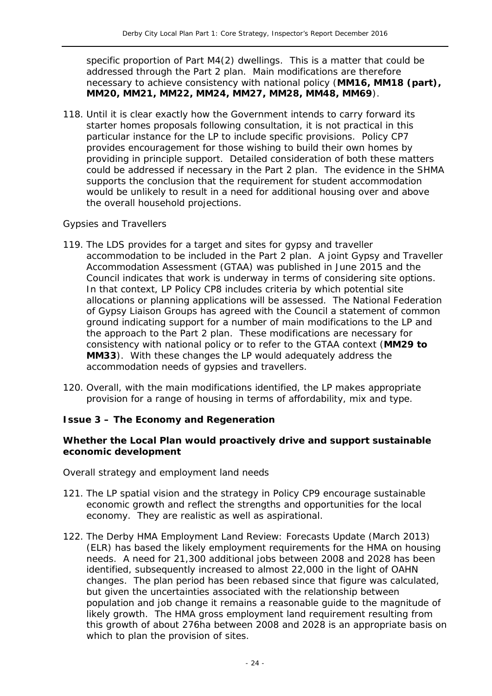specific proportion of Part M4(2) dwellings. This is a matter that could be addressed through the Part 2 plan. Main modifications are therefore necessary to achieve consistency with national policy (**MM16, MM18 (part), MM20, MM21, MM22, MM24, MM27, MM28, MM48, MM69**).

118. Until it is clear exactly how the Government intends to carry forward its starter homes proposals following consultation, it is not practical in this particular instance for the LP to include specific provisions. Policy CP7 provides encouragement for those wishing to build their own homes by providing in principle support. Detailed consideration of both these matters could be addressed if necessary in the Part 2 plan. The evidence in the SHMA supports the conclusion that the requirement for student accommodation would be unlikely to result in a need for additional housing over and above the overall household projections.

#### *Gypsies and Travellers*

- 119. The LDS provides for a target and sites for gypsy and traveller accommodation to be included in the Part 2 plan. A joint Gypsy and Traveller Accommodation Assessment (GTAA) was published in June 2015 and the Council indicates that work is underway in terms of considering site options. In that context, LP Policy CP8 includes criteria by which potential site allocations or planning applications will be assessed. The National Federation of Gypsy Liaison Groups has agreed with the Council a statement of common ground indicating support for a number of main modifications to the LP and the approach to the Part 2 plan. These modifications are necessary for consistency with national policy or to refer to the GTAA context (**MM29 to MM33**). With these changes the LP would adequately address the accommodation needs of gypsies and travellers.
- 120. Overall, with the main modifications identified, the LP makes appropriate provision for a range of housing in terms of affordability, mix and type.

#### **Issue 3 – The Economy and Regeneration**

#### *Whether the Local Plan would proactively drive and support sustainable economic development*

#### *Overall strategy and employment land needs*

- 121. The LP spatial vision and the strategy in Policy CP9 encourage sustainable economic growth and reflect the strengths and opportunities for the local economy. They are realistic as well as aspirational.
- 122. The Derby HMA Employment Land Review: Forecasts Update (March 2013) (ELR) has based the likely employment requirements for the HMA on housing needs. A need for 21,300 additional jobs between 2008 and 2028 has been identified, subsequently increased to almost 22,000 in the light of OAHN changes. The plan period has been rebased since that figure was calculated, but given the uncertainties associated with the relationship between population and job change it remains a reasonable guide to the magnitude of likely growth. The HMA gross employment land requirement resulting from this growth of about 276ha between 2008 and 2028 is an appropriate basis on which to plan the provision of sites.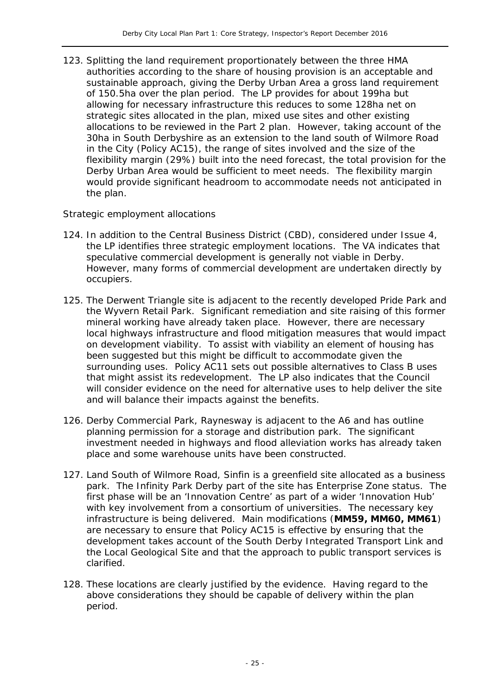123. Splitting the land requirement proportionately between the three HMA authorities according to the share of housing provision is an acceptable and sustainable approach, giving the Derby Urban Area a gross land requirement of 150.5ha over the plan period. The LP provides for about 199ha but allowing for necessary infrastructure this reduces to some 128ha net on strategic sites allocated in the plan, mixed use sites and other existing allocations to be reviewed in the Part 2 plan. However, taking account of the 30ha in South Derbyshire as an extension to the land south of Wilmore Road in the City (Policy AC15), the range of sites involved and the size of the flexibility margin (29%) built into the need forecast, the total provision for the Derby Urban Area would be sufficient to meet needs. The flexibility margin would provide significant headroom to accommodate needs not anticipated in the plan.

#### *Strategic employment allocations*

- 124. In addition to the Central Business District (CBD), considered under Issue 4, the LP identifies three strategic employment locations. The VA indicates that speculative commercial development is generally not viable in Derby. However, many forms of commercial development are undertaken directly by occupiers.
- 125. *The Derwent Triangle* site is adjacent to the recently developed Pride Park and the Wyvern Retail Park. Significant remediation and site raising of this former mineral working have already taken place. However, there are necessary local highways infrastructure and flood mitigation measures that would impact on development viability. To assist with viability an element of housing has been suggested but this might be difficult to accommodate given the surrounding uses. Policy AC11 sets out possible alternatives to Class B uses that might assist its redevelopment. The LP also indicates that the Council will consider evidence on the need for alternative uses to help deliver the site and will balance their impacts against the benefits.
- 126. *Derby Commercial Park, Raynesway* is adjacent to the A6 and has outline planning permission for a storage and distribution park. The significant investment needed in highways and flood alleviation works has already taken place and some warehouse units have been constructed.
- 127. *Land South of Wilmore Road, Sinfin* is a greenfield site allocated as a business park. The Infinity Park Derby part of the site has Enterprise Zone status. The first phase will be an 'Innovation Centre' as part of a wider 'Innovation Hub' with key involvement from a consortium of universities. The necessary key infrastructure is being delivered. Main modifications (**MM59, MM60, MM61**) are necessary to ensure that Policy AC15 is effective by ensuring that the development takes account of the South Derby Integrated Transport Link and the Local Geological Site and that the approach to public transport services is clarified.
- 128. These locations are clearly justified by the evidence. Having regard to the above considerations they should be capable of delivery within the plan period.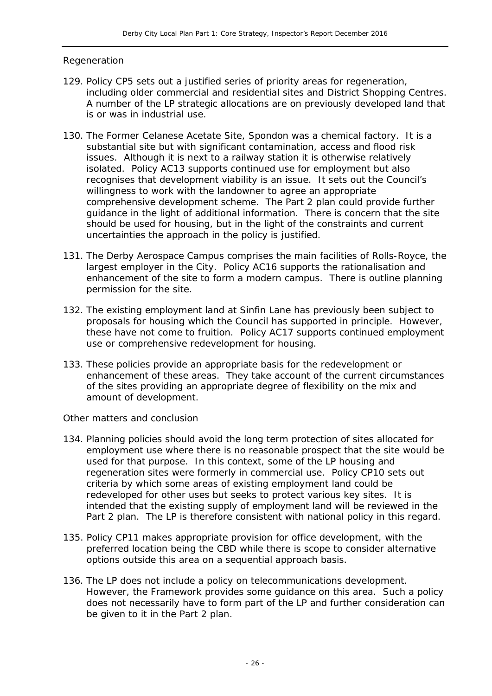#### *Regeneration*

- 129. Policy CP5 sets out a justified series of priority areas for regeneration, including older commercial and residential sites and District Shopping Centres. A number of the LP strategic allocations are on previously developed land that is or was in industrial use.
- 130. The *Former Celanese Acetate Site, Spondon* was a chemical factory. It is a substantial site but with significant contamination, access and flood risk issues. Although it is next to a railway station it is otherwise relatively isolated. Policy AC13 supports continued use for employment but also recognises that development viability is an issue. It sets out the Council's willingness to work with the landowner to agree an appropriate comprehensive development scheme. The Part 2 plan could provide further guidance in the light of additional information. There is concern that the site should be used for housing, but in the light of the constraints and current uncertainties the approach in the policy is justified.
- 131. The *Derby Aerospace Campus* comprises the main facilities of Rolls-Royce, the largest employer in the City. Policy AC16 supports the rationalisation and enhancement of the site to form a modern campus. There is outline planning permission for the site.
- 132. The existing employment land at *Sinfin Lane* has previously been subject to proposals for housing which the Council has supported in principle. However, these have not come to fruition. Policy AC17 supports continued employment use or comprehensive redevelopment for housing.
- 133. These policies provide an appropriate basis for the redevelopment or enhancement of these areas. They take account of the current circumstances of the sites providing an appropriate degree of flexibility on the mix and amount of development.

#### *Other matters and conclusion*

- 134. Planning policies should avoid the long term protection of sites allocated for employment use where there is no reasonable prospect that the site would be used for that purpose. In this context, some of the LP housing and regeneration sites were formerly in commercial use. Policy CP10 sets out criteria by which some areas of existing employment land could be redeveloped for other uses but seeks to protect various key sites. It is intended that the existing supply of employment land will be reviewed in the Part 2 plan. The LP is therefore consistent with national policy in this regard.
- 135. Policy CP11 makes appropriate provision for office development, with the preferred location being the CBD while there is scope to consider alternative options outside this area on a sequential approach basis.
- 136. The LP does not include a policy on telecommunications development. However, the Framework provides some guidance on this area. Such a policy does not necessarily have to form part of the LP and further consideration can be given to it in the Part 2 plan.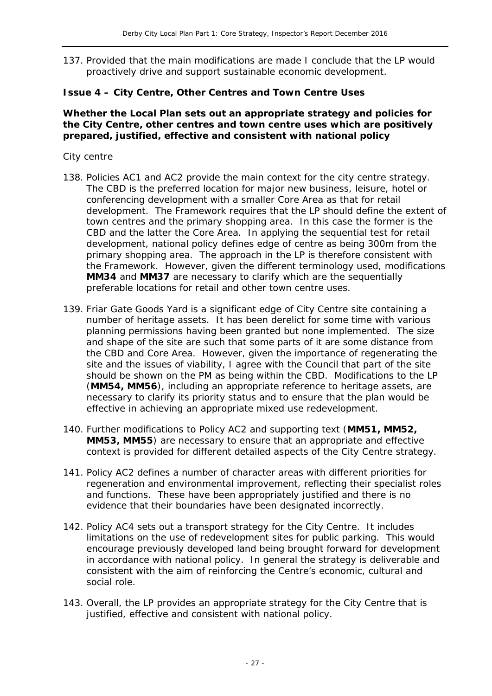137. Provided that the main modifications are made I conclude that the LP would proactively drive and support sustainable economic development.

#### **Issue 4 – City Centre, Other Centres and Town Centre Uses**

#### **Whether the Local Plan sets out an appropriate strategy and policies for the City Centre, other centres and town centre uses which are positively prepared, justified, effective and consistent with national policy**

#### *City centre*

- 138. Policies AC1 and AC2 provide the main context for the city centre strategy. The CBD is the preferred location for major new business, leisure, hotel or conferencing development with a smaller Core Area as that for retail development. The Framework requires that the LP should define the extent of town centres and the primary shopping area. In this case the former is the CBD and the latter the Core Area. In applying the sequential test for retail development, national policy defines edge of centre as being 300m from the primary shopping area. The approach in the LP is therefore consistent with the Framework. However, given the different terminology used, modifications **MM34** and **MM37** are necessary to clarify which are the sequentially preferable locations for retail and other town centre uses.
- 139. Friar Gate Goods Yard is a significant edge of City Centre site containing a number of heritage assets. It has been derelict for some time with various planning permissions having been granted but none implemented. The size and shape of the site are such that some parts of it are some distance from the CBD and Core Area. However, given the importance of regenerating the site and the issues of viability, I agree with the Council that part of the site should be shown on the PM as being within the CBD. Modifications to the LP (**MM54, MM56**), including an appropriate reference to heritage assets, are necessary to clarify its priority status and to ensure that the plan would be effective in achieving an appropriate mixed use redevelopment.
- 140. Further modifications to Policy AC2 and supporting text (**MM51, MM52, MM53, MM55**) are necessary to ensure that an appropriate and effective context is provided for different detailed aspects of the City Centre strategy.
- 141. Policy AC2 defines a number of character areas with different priorities for regeneration and environmental improvement, reflecting their specialist roles and functions. These have been appropriately justified and there is no evidence that their boundaries have been designated incorrectly.
- 142. Policy AC4 sets out a transport strategy for the City Centre. It includes limitations on the use of redevelopment sites for public parking. This would encourage previously developed land being brought forward for development in accordance with national policy. In general the strategy is deliverable and consistent with the aim of reinforcing the Centre's economic, cultural and social role.
- 143. Overall, the LP provides an appropriate strategy for the City Centre that is justified, effective and consistent with national policy.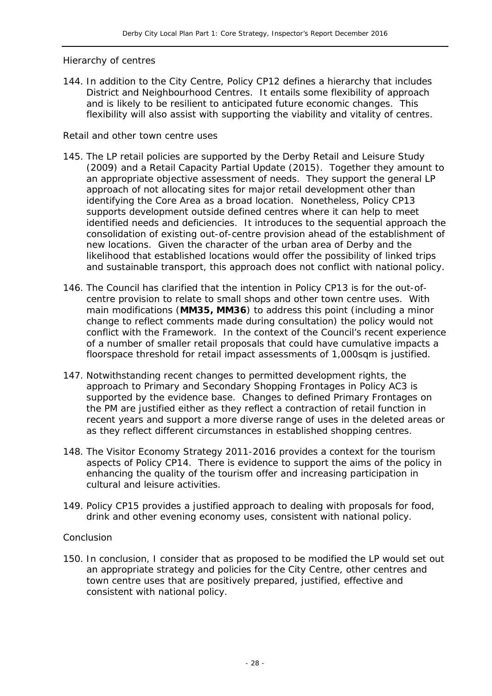#### *Hierarchy of centres*

144. In addition to the City Centre, Policy CP12 defines a hierarchy that includes District and Neighbourhood Centres. It entails some flexibility of approach and is likely to be resilient to anticipated future economic changes. This flexibility will also assist with supporting the viability and vitality of centres.

#### *Retail and other town centre uses*

- 145. The LP retail policies are supported by the Derby Retail and Leisure Study (2009) and a Retail Capacity Partial Update (2015). Together they amount to an appropriate objective assessment of needs. They support the general LP approach of not allocating sites for major retail development other than identifying the Core Area as a broad location. Nonetheless, Policy CP13 supports development outside defined centres where it can help to meet identified needs and deficiencies. It introduces to the sequential approach the consolidation of existing out-of-centre provision ahead of the establishment of new locations. Given the character of the urban area of Derby and the likelihood that established locations would offer the possibility of linked trips and sustainable transport, this approach does not conflict with national policy.
- 146. The Council has clarified that the intention in Policy CP13 is for the out-ofcentre provision to relate to small shops and other town centre uses. With main modifications (**MM35, MM36**) to address this point (including a minor change to reflect comments made during consultation) the policy would not conflict with the Framework. In the context of the Council's recent experience of a number of smaller retail proposals that could have cumulative impacts a floorspace threshold for retail impact assessments of 1,000sqm is justified.
- 147. Notwithstanding recent changes to permitted development rights, the approach to Primary and Secondary Shopping Frontages in Policy AC3 is supported by the evidence base. Changes to defined Primary Frontages on the PM are justified either as they reflect a contraction of retail function in recent years and support a more diverse range of uses in the deleted areas or as they reflect different circumstances in established shopping centres.
- 148. The Visitor Economy Strategy 2011-2016 provides a context for the tourism aspects of Policy CP14. There is evidence to support the aims of the policy in enhancing the quality of the tourism offer and increasing participation in cultural and leisure activities.
- 149. Policy CP15 provides a justified approach to dealing with proposals for food, drink and other evening economy uses, consistent with national policy.

#### *Conclusion*

150. In conclusion, I consider that as proposed to be modified the LP would set out an appropriate strategy and policies for the City Centre, other centres and town centre uses that are positively prepared, justified, effective and consistent with national policy.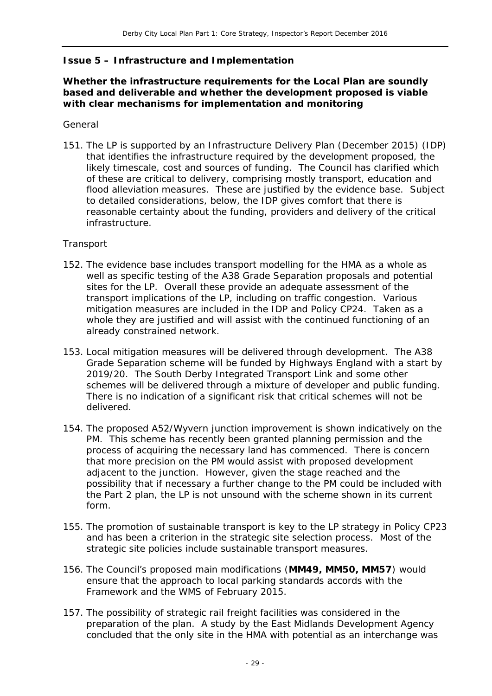#### **Issue 5 – Infrastructure and Implementation**

#### **Whether the infrastructure requirements for the Local Plan are soundly based and deliverable and whether the development proposed is viable with clear mechanisms for implementation and monitoring**

#### *General*

151. The LP is supported by an Infrastructure Delivery Plan (December 2015) (IDP) that identifies the infrastructure required by the development proposed, the likely timescale, cost and sources of funding. The Council has clarified which of these are critical to delivery, comprising mostly transport, education and flood alleviation measures. These are justified by the evidence base. Subject to detailed considerations, below, the IDP gives comfort that there is reasonable certainty about the funding, providers and delivery of the critical infrastructure.

#### *Transport*

- 152. The evidence base includes transport modelling for the HMA as a whole as well as specific testing of the A38 Grade Separation proposals and potential sites for the LP. Overall these provide an adequate assessment of the transport implications of the LP, including on traffic congestion. Various mitigation measures are included in the IDP and Policy CP24. Taken as a whole they are justified and will assist with the continued functioning of an already constrained network.
- 153. Local mitigation measures will be delivered through development. The A38 Grade Separation scheme will be funded by Highways England with a start by 2019/20. The South Derby Integrated Transport Link and some other schemes will be delivered through a mixture of developer and public funding. There is no indication of a significant risk that critical schemes will not be delivered.
- 154. The proposed A52/Wyvern junction improvement is shown indicatively on the PM. This scheme has recently been granted planning permission and the process of acquiring the necessary land has commenced. There is concern that more precision on the PM would assist with proposed development adjacent to the junction. However, given the stage reached and the possibility that if necessary a further change to the PM could be included with the Part 2 plan, the LP is not unsound with the scheme shown in its current form.
- 155. The promotion of sustainable transport is key to the LP strategy in Policy CP23 and has been a criterion in the strategic site selection process. Most of the strategic site policies include sustainable transport measures.
- 156. The Council's proposed main modifications (**MM49, MM50, MM57**) would ensure that the approach to local parking standards accords with the Framework and the WMS of February 2015.
- 157. The possibility of strategic rail freight facilities was considered in the preparation of the plan. A study by the East Midlands Development Agency concluded that the only site in the HMA with potential as an interchange was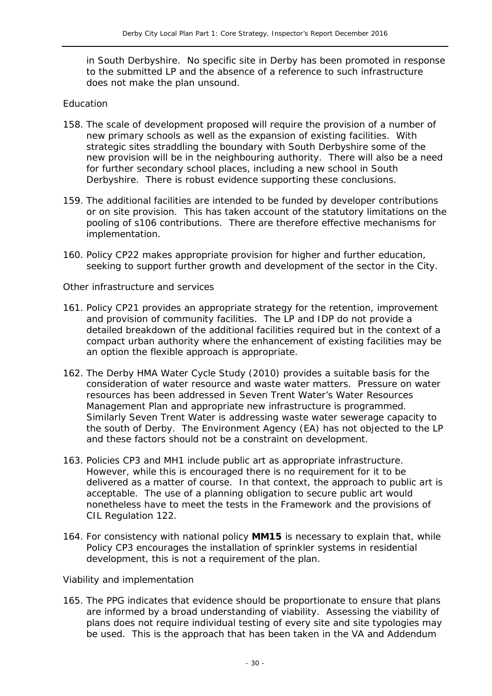in South Derbyshire. No specific site in Derby has been promoted in response to the submitted LP and the absence of a reference to such infrastructure does not make the plan unsound.

#### *Education*

- 158. The scale of development proposed will require the provision of a number of new primary schools as well as the expansion of existing facilities. With strategic sites straddling the boundary with South Derbyshire some of the new provision will be in the neighbouring authority. There will also be a need for further secondary school places, including a new school in South Derbyshire. There is robust evidence supporting these conclusions.
- 159. The additional facilities are intended to be funded by developer contributions or on site provision. This has taken account of the statutory limitations on the pooling of s106 contributions. There are therefore effective mechanisms for implementation.
- 160. Policy CP22 makes appropriate provision for higher and further education, seeking to support further growth and development of the sector in the City.

#### *Other infrastructure and services*

- 161. Policy CP21 provides an appropriate strategy for the retention, improvement and provision of community facilities. The LP and IDP do not provide a detailed breakdown of the additional facilities required but in the context of a compact urban authority where the enhancement of existing facilities may be an option the flexible approach is appropriate.
- 162. The Derby HMA Water Cycle Study (2010) provides a suitable basis for the consideration of water resource and waste water matters. Pressure on water resources has been addressed in Seven Trent Water's Water Resources Management Plan and appropriate new infrastructure is programmed. Similarly Seven Trent Water is addressing waste water sewerage capacity to the south of Derby. The Environment Agency (EA) has not objected to the LP and these factors should not be a constraint on development.
- 163. Policies CP3 and MH1 include public art as appropriate infrastructure. However, while this is encouraged there is no requirement for it to be delivered as a matter of course. In that context, the approach to public art is acceptable. The use of a planning obligation to secure public art would nonetheless have to meet the tests in the Framework and the provisions of CIL Regulation 122.
- 164. For consistency with national policy **MM15** is necessary to explain that, while Policy CP3 encourages the installation of sprinkler systems in residential development, this is not a requirement of the plan.

#### *Viability and implementation*

165. The PPG indicates that evidence should be proportionate to ensure that plans are informed by a broad understanding of viability. Assessing the viability of plans does not require individual testing of every site and site typologies may be used. This is the approach that has been taken in the VA and Addendum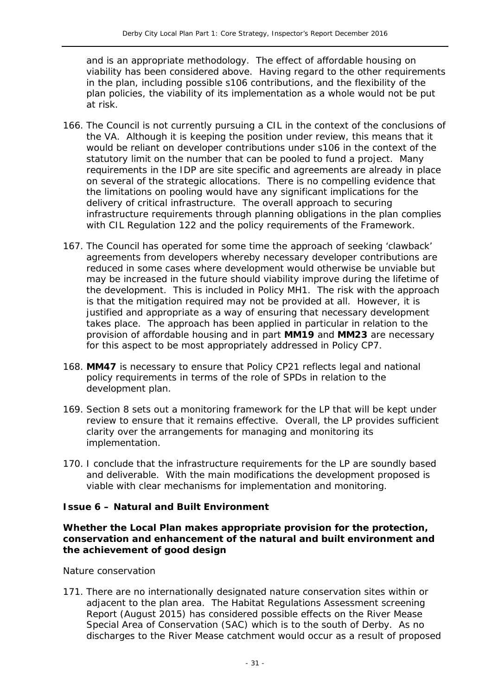and is an appropriate methodology. The effect of affordable housing on viability has been considered above. Having regard to the other requirements in the plan, including possible s106 contributions, and the flexibility of the plan policies, the viability of its implementation as a whole would not be put at risk.

- 166. The Council is not currently pursuing a CIL in the context of the conclusions of the VA. Although it is keeping the position under review, this means that it would be reliant on developer contributions under s106 in the context of the statutory limit on the number that can be pooled to fund a project. Many requirements in the IDP are site specific and agreements are already in place on several of the strategic allocations. There is no compelling evidence that the limitations on pooling would have any significant implications for the delivery of critical infrastructure. The overall approach to securing infrastructure requirements through planning obligations in the plan complies with CIL Regulation 122 and the policy requirements of the Framework.
- 167. The Council has operated for some time the approach of seeking 'clawback' agreements from developers whereby necessary developer contributions are reduced in some cases where development would otherwise be unviable but may be increased in the future should viability improve during the lifetime of the development. This is included in Policy MH1. The risk with the approach is that the mitigation required may not be provided at all. However, it is justified and appropriate as a way of ensuring that necessary development takes place. The approach has been applied in particular in relation to the provision of affordable housing and in part **MM19** and **MM23** are necessary for this aspect to be most appropriately addressed in Policy CP7.
- 168. **MM47** is necessary to ensure that Policy CP21 reflects legal and national policy requirements in terms of the role of SPDs in relation to the development plan.
- 169. Section 8 sets out a monitoring framework for the LP that will be kept under review to ensure that it remains effective. Overall, the LP provides sufficient clarity over the arrangements for managing and monitoring its implementation.
- 170. I conclude that the infrastructure requirements for the LP are soundly based and deliverable. With the main modifications the development proposed is viable with clear mechanisms for implementation and monitoring.

#### **Issue 6 – Natural and Built Environment**

#### **Whether the Local Plan makes appropriate provision for the protection, conservation and enhancement of the natural and built environment and the achievement of good design**

#### *Nature conservation*

171. There are no internationally designated nature conservation sites within or adjacent to the plan area. The Habitat Regulations Assessment screening Report (August 2015) has considered possible effects on the River Mease Special Area of Conservation (SAC) which is to the south of Derby. As no discharges to the River Mease catchment would occur as a result of proposed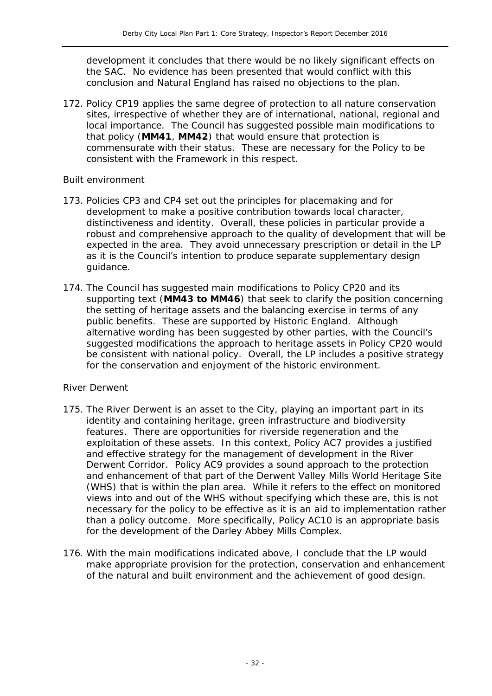development it concludes that there would be no likely significant effects on the SAC. No evidence has been presented that would conflict with this conclusion and Natural England has raised no objections to the plan.

172. Policy CP19 applies the same degree of protection to all nature conservation sites, irrespective of whether they are of international, national, regional and local importance. The Council has suggested possible main modifications to that policy (**MM41**, **MM42**) that would ensure that protection is commensurate with their status. These are necessary for the Policy to be consistent with the Framework in this respect.

#### *Built environment*

- 173. Policies CP3 and CP4 set out the principles for placemaking and for development to make a positive contribution towards local character, distinctiveness and identity. Overall, these policies in particular provide a robust and comprehensive approach to the quality of development that will be expected in the area. They avoid unnecessary prescription or detail in the LP as it is the Council's intention to produce separate supplementary design guidance.
- 174. The Council has suggested main modifications to Policy CP20 and its supporting text (**MM43 to MM46**) that seek to clarify the position concerning the setting of heritage assets and the balancing exercise in terms of any public benefits. These are supported by Historic England. Although alternative wording has been suggested by other parties, with the Council's suggested modifications the approach to heritage assets in Policy CP20 would be consistent with national policy. Overall, the LP includes a positive strategy for the conservation and enjoyment of the historic environment.

#### *River Derwent*

- 175. The River Derwent is an asset to the City, playing an important part in its identity and containing heritage, green infrastructure and biodiversity features. There are opportunities for riverside regeneration and the exploitation of these assets. In this context, Policy AC7 provides a justified and effective strategy for the management of development in the River Derwent Corridor. Policy AC9 provides a sound approach to the protection and enhancement of that part of the Derwent Valley Mills World Heritage Site (WHS) that is within the plan area. While it refers to the effect on monitored views into and out of the WHS without specifying which these are, this is not necessary for the policy to be effective as it is an aid to implementation rather than a policy outcome. More specifically, Policy AC10 is an appropriate basis for the development of the Darley Abbey Mills Complex.
- 176. With the main modifications indicated above, I conclude that the LP would make appropriate provision for the protection, conservation and enhancement of the natural and built environment and the achievement of good design.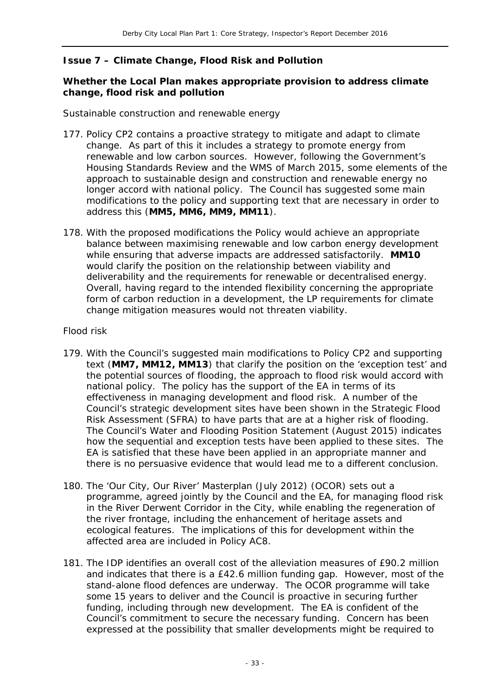#### **Issue 7 – Climate Change, Flood Risk and Pollution**

#### **Whether the Local Plan makes appropriate provision to address climate change, flood risk and pollution**

#### *Sustainable construction and renewable energy*

- 177. Policy CP2 contains a proactive strategy to mitigate and adapt to climate change. As part of this it includes a strategy to promote energy from renewable and low carbon sources. However, following the Government's Housing Standards Review and the WMS of March 2015, some elements of the approach to sustainable design and construction and renewable energy no longer accord with national policy. The Council has suggested some main modifications to the policy and supporting text that are necessary in order to address this (**MM5, MM6, MM9, MM11**).
- 178. With the proposed modifications the Policy would achieve an appropriate balance between maximising renewable and low carbon energy development while ensuring that adverse impacts are addressed satisfactorily. **MM10** would clarify the position on the relationship between viability and deliverability and the requirements for renewable or decentralised energy. Overall, having regard to the intended flexibility concerning the appropriate form of carbon reduction in a development, the LP requirements for climate change mitigation measures would not threaten viability.

#### *Flood risk*

- 179. With the Council's suggested main modifications to Policy CP2 and supporting text (**MM7, MM12, MM13**) that clarify the position on the 'exception test' and the potential sources of flooding, the approach to flood risk would accord with national policy. The policy has the support of the EA in terms of its effectiveness in managing development and flood risk. A number of the Council's strategic development sites have been shown in the Strategic Flood Risk Assessment (SFRA) to have parts that are at a higher risk of flooding. The Council's Water and Flooding Position Statement (August 2015) indicates how the sequential and exception tests have been applied to these sites. The EA is satisfied that these have been applied in an appropriate manner and there is no persuasive evidence that would lead me to a different conclusion.
- 180. The 'Our City, Our River' Masterplan (July 2012) (OCOR) sets out a programme, agreed jointly by the Council and the EA, for managing flood risk in the River Derwent Corridor in the City, while enabling the regeneration of the river frontage, including the enhancement of heritage assets and ecological features. The implications of this for development within the affected area are included in Policy AC8.
- 181. The IDP identifies an overall cost of the alleviation measures of £90.2 million and indicates that there is a £42.6 million funding gap. However, most of the stand-alone flood defences are underway. The OCOR programme will take some 15 years to deliver and the Council is proactive in securing further funding, including through new development. The EA is confident of the Council's commitment to secure the necessary funding. Concern has been expressed at the possibility that smaller developments might be required to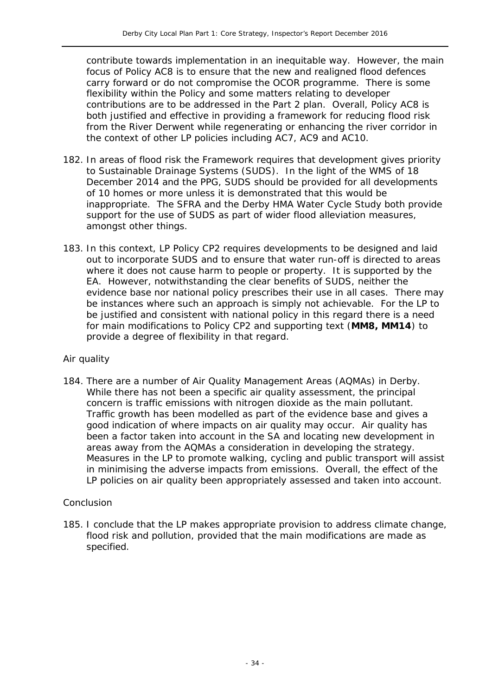contribute towards implementation in an inequitable way. However, the main focus of Policy AC8 is to ensure that the new and realigned flood defences carry forward or do not compromise the OCOR programme. There is some flexibility within the Policy and some matters relating to developer contributions are to be addressed in the Part 2 plan. Overall, Policy AC8 is both justified and effective in providing a framework for reducing flood risk from the River Derwent while regenerating or enhancing the river corridor in the context of other LP policies including AC7, AC9 and AC10.

- 182. In areas of flood risk the Framework requires that development gives priority to Sustainable Drainage Systems (SUDS). In the light of the WMS of 18 December 2014 and the PPG, SUDS should be provided for all developments of 10 homes or more unless it is demonstrated that this would be inappropriate. The SFRA and the Derby HMA Water Cycle Study both provide support for the use of SUDS as part of wider flood alleviation measures, amongst other things.
- 183. In this context, LP Policy CP2 requires developments to be designed and laid out to incorporate SUDS and to ensure that water run-off is directed to areas where it does not cause harm to people or property. It is supported by the EA. However, notwithstanding the clear benefits of SUDS, neither the evidence base nor national policy prescribes their use in all cases. There may be instances where such an approach is simply not achievable. For the LP to be justified and consistent with national policy in this regard there is a need for main modifications to Policy CP2 and supporting text (**MM8, MM14**) to provide a degree of flexibility in that regard.

#### *Air quality*

184. There are a number of Air Quality Management Areas (AQMAs) in Derby. While there has not been a specific air quality assessment, the principal concern is traffic emissions with nitrogen dioxide as the main pollutant. Traffic growth has been modelled as part of the evidence base and gives a good indication of where impacts on air quality may occur. Air quality has been a factor taken into account in the SA and locating new development in areas away from the AQMAs a consideration in developing the strategy. Measures in the LP to promote walking, cycling and public transport will assist in minimising the adverse impacts from emissions. Overall, the effect of the LP policies on air quality been appropriately assessed and taken into account.

#### *Conclusion*

185. I conclude that the LP makes appropriate provision to address climate change, flood risk and pollution, provided that the main modifications are made as specified.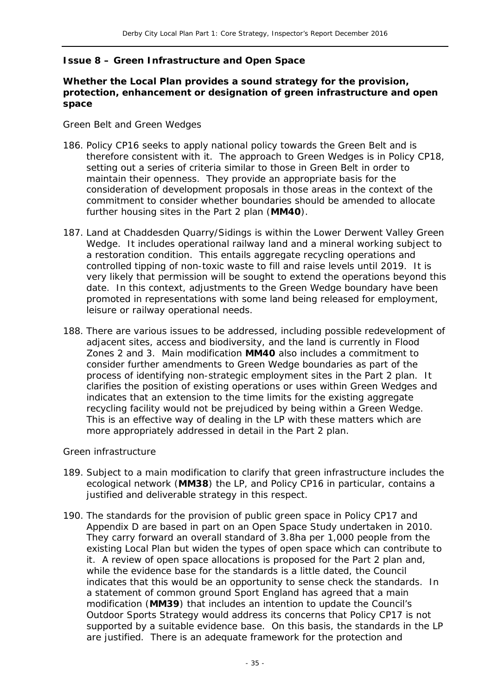#### **Issue 8 – Green Infrastructure and Open Space**

#### **Whether the Local Plan provides a sound strategy for the provision, protection, enhancement or designation of green infrastructure and open space**

#### *Green Belt and Green Wedges*

- 186. Policy CP16 seeks to apply national policy towards the Green Belt and is therefore consistent with it. The approach to Green Wedges is in Policy CP18, setting out a series of criteria similar to those in Green Belt in order to maintain their openness. They provide an appropriate basis for the consideration of development proposals in those areas in the context of the commitment to consider whether boundaries should be amended to allocate further housing sites in the Part 2 plan (**MM40**).
- 187. *Land at Chaddesden Quarry/Sidings* is within the Lower Derwent Valley Green Wedge. It includes operational railway land and a mineral working subject to a restoration condition. This entails aggregate recycling operations and controlled tipping of non-toxic waste to fill and raise levels until 2019. It is very likely that permission will be sought to extend the operations beyond this date. In this context, adjustments to the Green Wedge boundary have been promoted in representations with some land being released for employment, leisure or railway operational needs.
- 188. There are various issues to be addressed, including possible redevelopment of adjacent sites, access and biodiversity, and the land is currently in Flood Zones 2 and 3. Main modification **MM40** also includes a commitment to consider further amendments to Green Wedge boundaries as part of the process of identifying non-strategic employment sites in the Part 2 plan. It clarifies the position of existing operations or uses within Green Wedges and indicates that an extension to the time limits for the existing aggregate recycling facility would not be prejudiced by being within a Green Wedge. This is an effective way of dealing in the LP with these matters which are more appropriately addressed in detail in the Part 2 plan.

#### *Green infrastructure*

- 189. Subject to a main modification to clarify that green infrastructure includes the ecological network (**MM38**) the LP, and Policy CP16 in particular, contains a justified and deliverable strategy in this respect.
- 190. The standards for the provision of public green space in Policy CP17 and Appendix D are based in part on an Open Space Study undertaken in 2010. They carry forward an overall standard of 3.8ha per 1,000 people from the existing Local Plan but widen the types of open space which can contribute to it. A review of open space allocations is proposed for the Part 2 plan and, while the evidence base for the standards is a little dated, the Council indicates that this would be an opportunity to sense check the standards. In a statement of common ground Sport England has agreed that a main modification (**MM39**) that includes an intention to update the Council's Outdoor Sports Strategy would address its concerns that Policy CP17 is not supported by a suitable evidence base. On this basis, the standards in the LP are justified. There is an adequate framework for the protection and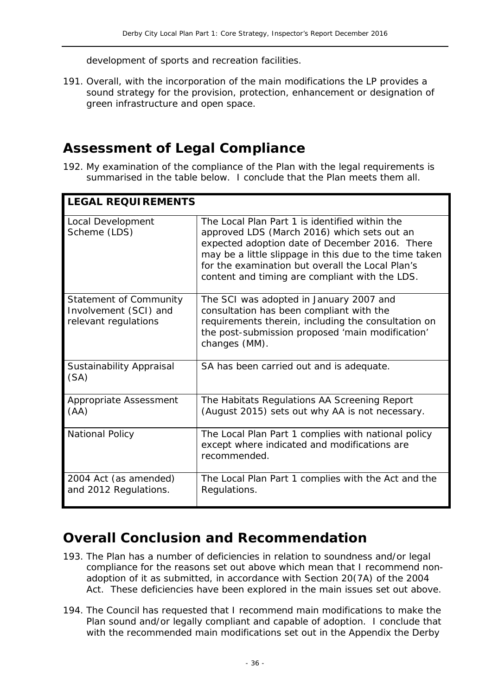development of sports and recreation facilities.

191. Overall, with the incorporation of the main modifications the LP provides a sound strategy for the provision, protection, enhancement or designation of green infrastructure and open space.

### **Assessment of Legal Compliance**

192. My examination of the compliance of the Plan with the legal requirements is summarised in the table below. I conclude that the Plan meets them all.

| <b>LEGAL REQUIREMENTS</b>                                                      |                                                                                                                                                                                                                                                                                                                 |
|--------------------------------------------------------------------------------|-----------------------------------------------------------------------------------------------------------------------------------------------------------------------------------------------------------------------------------------------------------------------------------------------------------------|
| Local Development<br>Scheme (LDS)                                              | The Local Plan Part 1 is identified within the<br>approved LDS (March 2016) which sets out an<br>expected adoption date of December 2016. There<br>may be a little slippage in this due to the time taken<br>for the examination but overall the Local Plan's<br>content and timing are compliant with the LDS. |
| <b>Statement of Community</b><br>Involvement (SCI) and<br>relevant regulations | The SCI was adopted in January 2007 and<br>consultation has been compliant with the<br>requirements therein, including the consultation on<br>the post-submission proposed 'main modification'<br>changes (MM).                                                                                                 |
| Sustainability Appraisal<br>(SA)                                               | SA has been carried out and is adequate.                                                                                                                                                                                                                                                                        |
| Appropriate Assessment<br>(AA)                                                 | The Habitats Regulations AA Screening Report<br>(August 2015) sets out why AA is not necessary.                                                                                                                                                                                                                 |
| <b>National Policy</b>                                                         | The Local Plan Part 1 complies with national policy<br>except where indicated and modifications are<br>recommended.                                                                                                                                                                                             |
| 2004 Act (as amended)<br>and 2012 Regulations.                                 | The Local Plan Part 1 complies with the Act and the<br>Regulations.                                                                                                                                                                                                                                             |

# **Overall Conclusion and Recommendation**

- 193. The Plan has a number of deficiencies in relation to soundness and/or legal compliance for the reasons set out above which mean that I recommend nonadoption of it as submitted, in accordance with Section 20(7A) of the 2004 Act. These deficiencies have been explored in the main issues set out above.
- 194. The Council has requested that I recommend main modifications to make the Plan sound and/or legally compliant and capable of adoption. I conclude that with the recommended main modifications set out in the Appendix the Derby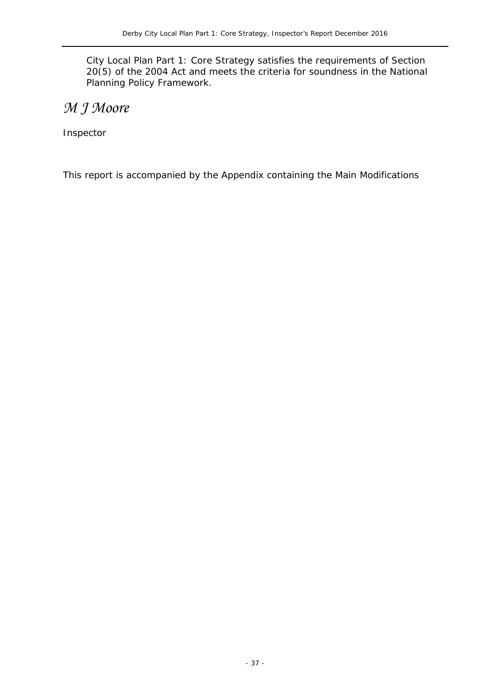City Local Plan Part 1: Core Strategy satisfies the requirements of Section 20(5) of the 2004 Act and meets the criteria for soundness in the National Planning Policy Framework.

# *M J Moore*

Inspector

This report is accompanied by the Appendix containing the Main Modifications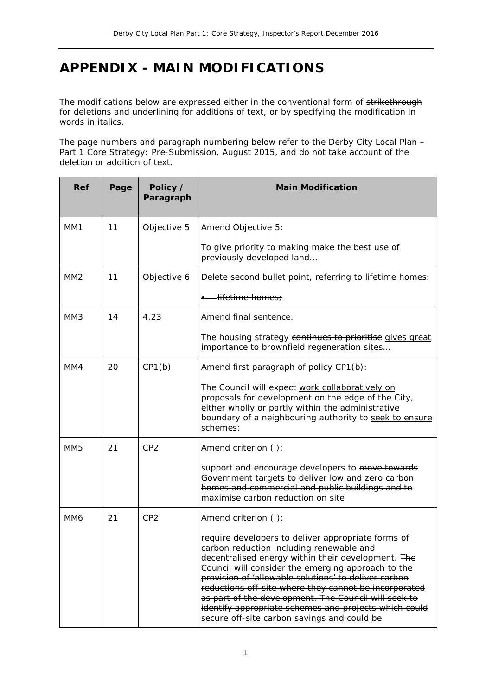# **APPENDIX - MAIN MODIFICATIONS**

The modifications below are expressed either in the conventional form of strikethrough for deletions and *underlining* for additions of text, or by specifying the modification in words in *italics*.

The page numbers and paragraph numbering below refer to the Derby City Local Plan – Part 1 Core Strategy: Pre-Submission, August 2015, and do not take account of the deletion or addition of text.

| Ref             | Page | Policy /<br>Paragraph | <b>Main Modification</b>                                                                                                                                                                                                                                                                                                                                                                                                                                                                    |
|-----------------|------|-----------------------|---------------------------------------------------------------------------------------------------------------------------------------------------------------------------------------------------------------------------------------------------------------------------------------------------------------------------------------------------------------------------------------------------------------------------------------------------------------------------------------------|
| MM1             | 11   | Objective 5           | Amend Objective 5:                                                                                                                                                                                                                                                                                                                                                                                                                                                                          |
|                 |      |                       | To give priority to making make the best use of<br>previously developed land                                                                                                                                                                                                                                                                                                                                                                                                                |
| MM <sub>2</sub> | 11   | Objective 6           | Delete second bullet point, referring to lifetime homes:                                                                                                                                                                                                                                                                                                                                                                                                                                    |
|                 |      |                       | <del>lifetime homes;</del>                                                                                                                                                                                                                                                                                                                                                                                                                                                                  |
| MM <sub>3</sub> | 14   | 4.23                  | Amend final sentence:                                                                                                                                                                                                                                                                                                                                                                                                                                                                       |
|                 |      |                       | The housing strategy continues to prioritise gives great<br>importance to brownfield regeneration sites                                                                                                                                                                                                                                                                                                                                                                                     |
| MM4             | 20   | CP1(b)                | Amend first paragraph of policy CP1(b):                                                                                                                                                                                                                                                                                                                                                                                                                                                     |
|                 |      |                       | The Council will expect work collaboratively on<br>proposals for development on the edge of the City,<br>either wholly or partly within the administrative<br>boundary of a neighbouring authority to seek to ensure<br>schemes:                                                                                                                                                                                                                                                            |
| MM <sub>5</sub> | 21   | CP <sub>2</sub>       | Amend criterion (i):                                                                                                                                                                                                                                                                                                                                                                                                                                                                        |
|                 |      |                       | support and encourage developers to move towards<br>Government targets to deliver low and zero carbon<br>homes and commercial and public buildings and to<br>maximise carbon reduction on site                                                                                                                                                                                                                                                                                              |
| MM <sub>6</sub> | 21   | CP <sub>2</sub>       | Amend criterion $(j)$ :                                                                                                                                                                                                                                                                                                                                                                                                                                                                     |
|                 |      |                       | require developers to deliver appropriate forms of<br>carbon reduction including renewable and<br>decentralised energy within their development. The<br>Council will consider the emerging approach to the<br>provision of 'allowable solutions' to deliver carbon<br>reductions off-site where they cannot be incorporated<br>as part of the development. The Council will seek to<br>identify appropriate schemes and projects which could<br>secure off-site carbon savings and could be |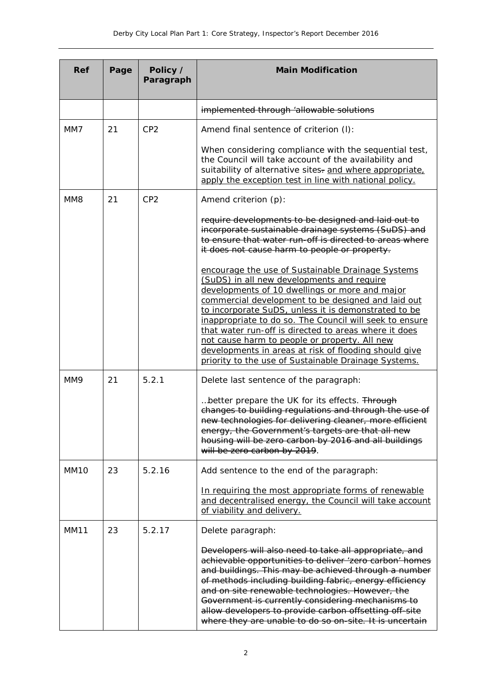| <b>Ref</b>       | Page | Policy /<br>Paragraph | <b>Main Modification</b>                                                                                                                                                                                                                                                                                                                                                                                                                                                                                                                              |
|------------------|------|-----------------------|-------------------------------------------------------------------------------------------------------------------------------------------------------------------------------------------------------------------------------------------------------------------------------------------------------------------------------------------------------------------------------------------------------------------------------------------------------------------------------------------------------------------------------------------------------|
|                  |      |                       | implemented through 'allowable solutions                                                                                                                                                                                                                                                                                                                                                                                                                                                                                                              |
| MM7              | 21   | CP <sub>2</sub>       | Amend final sentence of criterion (I):                                                                                                                                                                                                                                                                                                                                                                                                                                                                                                                |
|                  |      |                       | When considering compliance with the sequential test,<br>the Council will take account of the availability and<br>suitability of alternative sites- and where appropriate,<br>apply the exception test in line with national policy.                                                                                                                                                                                                                                                                                                                  |
| MM <sub>8</sub>  | 21   | CP <sub>2</sub>       | Amend criterion $(p)$ :                                                                                                                                                                                                                                                                                                                                                                                                                                                                                                                               |
|                  |      |                       | require developments to be designed and laid out to<br>incorporate sustainable drainage systems (SuDS) and<br>to ensure that water run-off is directed to areas where<br>it does not cause harm to people or property.                                                                                                                                                                                                                                                                                                                                |
|                  |      |                       | encourage the use of Sustainable Drainage Systems<br>(SuDS) in all new developments and require<br>developments of 10 dwellings or more and major<br>commercial development to be designed and laid out<br>to incorporate SuDS, unless it is demonstrated to be<br>inappropriate to do so. The Council will seek to ensure<br>that water run-off is directed to areas where it does<br>not cause harm to people or property. All new<br>developments in areas at risk of flooding should give<br>priority to the use of Sustainable Drainage Systems. |
| MM9              | 21   | 5.2.1                 | Delete last sentence of the paragraph:                                                                                                                                                                                                                                                                                                                                                                                                                                                                                                                |
|                  |      |                       | better prepare the UK for its effects. Through<br>changes to building regulations and through the use of<br>new technologies for delivering cleaner, more efficient<br>energy, the Government's targets are that all new<br>housing will be zero carbon by 2016 and all buildings<br>will be zero carbon by 2019.                                                                                                                                                                                                                                     |
| MM <sub>10</sub> | 23   | 5.2.16                | Add sentence to the end of the paragraph:                                                                                                                                                                                                                                                                                                                                                                                                                                                                                                             |
|                  |      |                       | In requiring the most appropriate forms of renewable<br>and decentralised energy, the Council will take account<br>of viability and delivery.                                                                                                                                                                                                                                                                                                                                                                                                         |
| <b>MM11</b>      | 23   | 5.2.17                | Delete paragraph:                                                                                                                                                                                                                                                                                                                                                                                                                                                                                                                                     |
|                  |      |                       | Developers will also need to take all appropriate, and<br>achievable opportunities to deliver 'zero carbon' homes<br>and buildings. This may be achieved through a number<br>of methods including building fabric, energy efficiency<br>and on site renewable technologies. However, the<br>Government is currently considering mechanisms to<br>allow developers to provide carbon offsetting off-site<br>where they are unable to do so on-site. It is uncertain                                                                                    |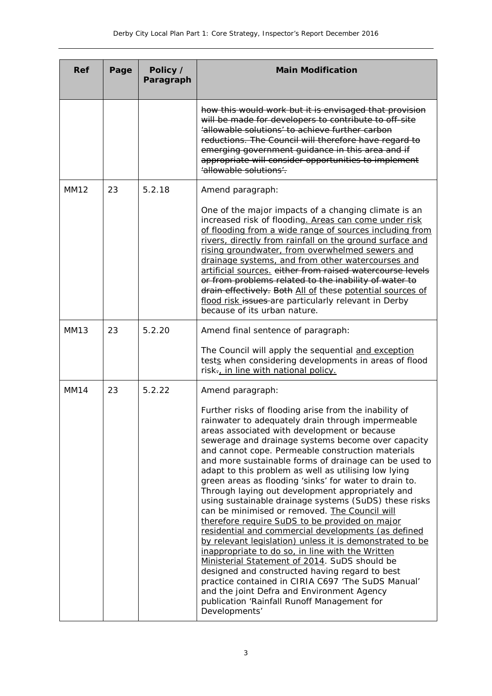| <b>Ref</b>  | Page | Policy /<br>Paragraph | <b>Main Modification</b>                                                                                                                                                                                                                                                                                                                                                                                                                                                                                                                                                                                                                                                                                                                                                                                                                                                                                                                                                                                                                                                                                       |
|-------------|------|-----------------------|----------------------------------------------------------------------------------------------------------------------------------------------------------------------------------------------------------------------------------------------------------------------------------------------------------------------------------------------------------------------------------------------------------------------------------------------------------------------------------------------------------------------------------------------------------------------------------------------------------------------------------------------------------------------------------------------------------------------------------------------------------------------------------------------------------------------------------------------------------------------------------------------------------------------------------------------------------------------------------------------------------------------------------------------------------------------------------------------------------------|
|             |      |                       | how this would work but it is envisaged that provision<br>will be made for developers to contribute to off-site<br>'allowable solutions' to achieve further carbon<br>reductions. The Council will therefore have regard to<br>emerging government guidance in this area and if<br>appropriate will consider opportunities to implement<br>'allowable solutions'.                                                                                                                                                                                                                                                                                                                                                                                                                                                                                                                                                                                                                                                                                                                                              |
| MM12        | 23   | 5.2.18                | Amend paragraph:                                                                                                                                                                                                                                                                                                                                                                                                                                                                                                                                                                                                                                                                                                                                                                                                                                                                                                                                                                                                                                                                                               |
|             |      |                       | One of the major impacts of a changing climate is an<br>increased risk of flooding. Areas can come under risk<br>of flooding from a wide range of sources including from<br>rivers, directly from rainfall on the ground surface and<br>rising groundwater, from overwhelmed sewers and<br>drainage systems, and from other watercourses and<br>artificial sources. either from raised watercourse levels<br>or from problems related to the inability of water to<br>drain effectively. Both All of these potential sources of<br>flood risk issues are particularly relevant in Derby<br>because of its urban nature.                                                                                                                                                                                                                                                                                                                                                                                                                                                                                        |
| <b>MM13</b> | 23   | 5.2.20                | Amend final sentence of paragraph:                                                                                                                                                                                                                                                                                                                                                                                                                                                                                                                                                                                                                                                                                                                                                                                                                                                                                                                                                                                                                                                                             |
|             |      |                       | The Council will apply the sequential and exception<br>tests when considering developments in areas of flood<br>risk-, in line with national policy.                                                                                                                                                                                                                                                                                                                                                                                                                                                                                                                                                                                                                                                                                                                                                                                                                                                                                                                                                           |
| <b>MM14</b> | 23   | 5.2.22                | Amend paragraph:                                                                                                                                                                                                                                                                                                                                                                                                                                                                                                                                                                                                                                                                                                                                                                                                                                                                                                                                                                                                                                                                                               |
|             |      |                       | Further risks of flooding arise from the inability of<br>rainwater to adequately drain through impermeable<br>areas associated with development or because<br>sewerage and drainage systems become over capacity<br>and cannot cope. Permeable construction materials<br>and more sustainable forms of drainage can be used to<br>adapt to this problem as well as utilising low lying<br>green areas as flooding 'sinks' for water to drain to.<br>Through laying out development appropriately and<br>using sustainable drainage systems (SuDS) these risks<br>can be minimised or removed. The Council will<br>therefore require SuDS to be provided on major<br>residential and commercial developments (as defined<br>by relevant legislation) unless it is demonstrated to be<br>inappropriate to do so, in line with the Written<br>Ministerial Statement of 2014. SuDS should be<br>designed and constructed having regard to best<br>practice contained in CIRIA C697 'The SuDS Manual'<br>and the joint Defra and Environment Agency<br>publication 'Rainfall Runoff Management for<br>Developments' |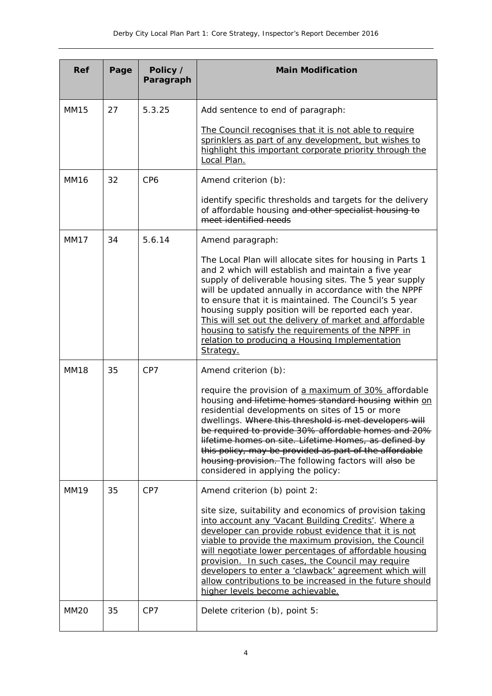| Ref         | Page | Policy /<br>Paragraph | <b>Main Modification</b>                                                                                                                                                                                                                                                                                                                                                                                                                                                                                                           |
|-------------|------|-----------------------|------------------------------------------------------------------------------------------------------------------------------------------------------------------------------------------------------------------------------------------------------------------------------------------------------------------------------------------------------------------------------------------------------------------------------------------------------------------------------------------------------------------------------------|
| <b>MM15</b> | 27   | 5.3.25                | Add sentence to end of paragraph:                                                                                                                                                                                                                                                                                                                                                                                                                                                                                                  |
|             |      |                       | The Council recognises that it is not able to require<br>sprinklers as part of any development, but wishes to<br>highlight this important corporate priority through the<br>Local Plan.                                                                                                                                                                                                                                                                                                                                            |
| <b>MM16</b> | 32   | CP <sub>6</sub>       | Amend criterion (b):                                                                                                                                                                                                                                                                                                                                                                                                                                                                                                               |
|             |      |                       | identify specific thresholds and targets for the delivery<br>of affordable housing and other specialist housing to<br>meet identified needs                                                                                                                                                                                                                                                                                                                                                                                        |
| <b>MM17</b> | 34   | 5.6.14                | Amend paragraph:                                                                                                                                                                                                                                                                                                                                                                                                                                                                                                                   |
|             |      |                       | The Local Plan will allocate sites for housing in Parts 1<br>and 2 which will establish and maintain a five year<br>supply of deliverable housing sites. The 5 year supply<br>will be updated annually in accordance with the NPPF<br>to ensure that it is maintained. The Council's 5 year<br>housing supply position will be reported each year.<br>This will set out the delivery of market and affordable<br>housing to satisfy the requirements of the NPPF in<br>relation to producing a Housing Implementation<br>Strategy. |
| <b>MM18</b> | 35   | CP7                   | Amend criterion (b):                                                                                                                                                                                                                                                                                                                                                                                                                                                                                                               |
|             |      |                       | require the provision of a maximum of 30% affordable<br>housing and lifetime homes standard housing within on<br>residential developments on sites of 15 or more<br>dwellings. Where this threshold is met developers will<br>be required to provide 30% affordable homes and 20%<br>lifetime homes on site. Lifetime Homes, as defined by<br>this policy, may be provided as part of the affordable<br>housing provision. The following factors will also be<br>considered in applying the policy:                                |
| <b>MM19</b> | 35   | CP7                   | Amend criterion (b) point 2:                                                                                                                                                                                                                                                                                                                                                                                                                                                                                                       |
|             |      |                       | site size, suitability and economics of provision taking<br>into account any 'Vacant Building Credits'. Where a<br>developer can provide robust evidence that it is not<br>viable to provide the maximum provision, the Council<br>will negotiate lower percentages of affordable housing<br>provision. In such cases, the Council may require<br>developers to enter a 'clawback' agreement which will<br>allow contributions to be increased in the future should<br>higher levels become achievable.                            |
| <b>MM20</b> | 35   | CP7                   | Delete criterion (b), point 5:                                                                                                                                                                                                                                                                                                                                                                                                                                                                                                     |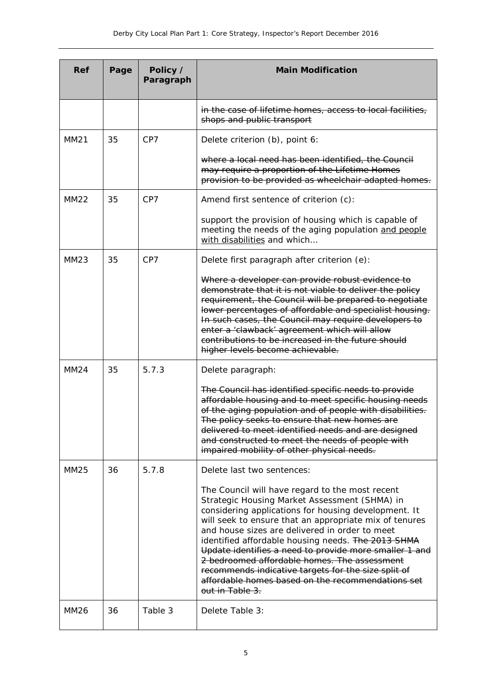| Ref         | Page | Policy /<br>Paragraph | <b>Main Modification</b>                                                                                                                                                                                                                                                                                                                                                                                                                                                                                                                                            |
|-------------|------|-----------------------|---------------------------------------------------------------------------------------------------------------------------------------------------------------------------------------------------------------------------------------------------------------------------------------------------------------------------------------------------------------------------------------------------------------------------------------------------------------------------------------------------------------------------------------------------------------------|
|             |      |                       | in the case of lifetime homes, access to local facilities,<br>shops and public transport                                                                                                                                                                                                                                                                                                                                                                                                                                                                            |
| <b>MM21</b> | 35   | CP7                   | Delete criterion (b), point 6:                                                                                                                                                                                                                                                                                                                                                                                                                                                                                                                                      |
|             |      |                       | where a local need has been identified, the Council<br>may require a proportion of the Lifetime Homes<br>provision to be provided as wheelchair adapted homes.                                                                                                                                                                                                                                                                                                                                                                                                      |
| <b>MM22</b> | 35   | CP7                   | Amend first sentence of criterion (c):                                                                                                                                                                                                                                                                                                                                                                                                                                                                                                                              |
|             |      |                       | support the provision of housing which is capable of<br>meeting the needs of the aging population and people<br>with disabilities and which                                                                                                                                                                                                                                                                                                                                                                                                                         |
| <b>MM23</b> | 35   | CP7                   | Delete first paragraph after criterion (e):                                                                                                                                                                                                                                                                                                                                                                                                                                                                                                                         |
|             |      |                       | Where a developer can provide robust evidence to<br>demonstrate that it is not viable to deliver the policy<br>requirement, the Council will be prepared to negotiate<br>lower percentages of affordable and specialist housing.<br>In such cases, the Council may require developers to<br>enter a 'clawback' agreement which will allow<br>contributions to be increased in the future should<br>higher levels become achievable.                                                                                                                                 |
| MM24        | 35   | 5.7.3                 | Delete paragraph:                                                                                                                                                                                                                                                                                                                                                                                                                                                                                                                                                   |
|             |      |                       | The Council has identified specific needs to provide<br>affordable housing and to meet specific housing needs<br>of the aging population and of people with disabilities.<br>The policy seeks to ensure that new homes are<br>delivered to meet identified needs and are designed<br>and constructed to meet the needs of people with<br>impaired mobility of other physical needs.                                                                                                                                                                                 |
| MM25        | 36   | 5.7.8                 | Delete last two sentences:                                                                                                                                                                                                                                                                                                                                                                                                                                                                                                                                          |
|             |      |                       | The Council will have regard to the most recent<br>Strategic Housing Market Assessment (SHMA) in<br>considering applications for housing development. It<br>will seek to ensure that an appropriate mix of tenures<br>and house sizes are delivered in order to meet<br>identified affordable housing needs. The 2013 SHMA<br>Update identifies a need to provide more smaller 1 and<br>2 bedroomed affordable homes. The assessment<br>recommends indicative targets for the size split of<br>affordable homes based on the recommendations set<br>out in Table 3. |
| <b>MM26</b> | 36   | Table 3               | Delete Table 3:                                                                                                                                                                                                                                                                                                                                                                                                                                                                                                                                                     |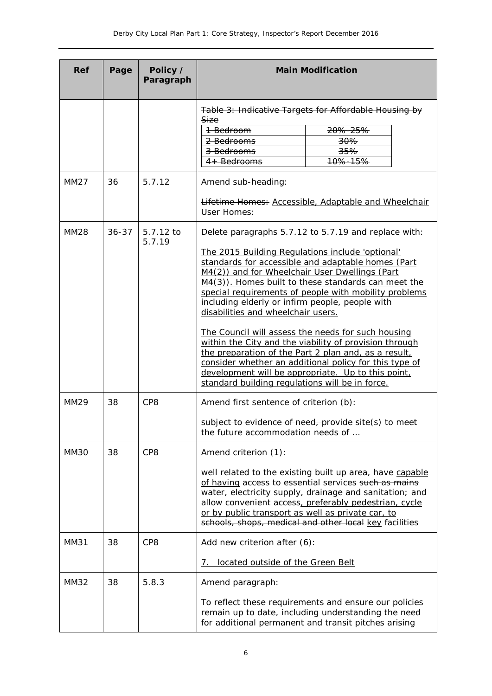| Ref         | Page      | Policy /<br>Paragraph |                                                                                                                                                                                             | <b>Main Modification</b>                                                                                                                                                                                                                                                                       |
|-------------|-----------|-----------------------|---------------------------------------------------------------------------------------------------------------------------------------------------------------------------------------------|------------------------------------------------------------------------------------------------------------------------------------------------------------------------------------------------------------------------------------------------------------------------------------------------|
|             |           |                       |                                                                                                                                                                                             | Table 3: Indicative Targets for Affordable Housing by                                                                                                                                                                                                                                          |
|             |           |                       | Size<br>1-Bedroom                                                                                                                                                                           | 20%-25%                                                                                                                                                                                                                                                                                        |
|             |           |                       | 2 Bedrooms                                                                                                                                                                                  | 30%                                                                                                                                                                                                                                                                                            |
|             |           |                       | 3 Bedrooms                                                                                                                                                                                  | 35%                                                                                                                                                                                                                                                                                            |
|             |           |                       | 4+ Bedrooms                                                                                                                                                                                 | 10%-15%                                                                                                                                                                                                                                                                                        |
| MM27        | 36        | 5.7.12                | Amend sub-heading:                                                                                                                                                                          |                                                                                                                                                                                                                                                                                                |
|             |           |                       | User Homes:                                                                                                                                                                                 | <b>Lifetime Homes: Accessible, Adaptable and Wheelchair</b>                                                                                                                                                                                                                                    |
| <b>MM28</b> | $36 - 37$ | 5.7.12 to<br>5.7.19   |                                                                                                                                                                                             | Delete paragraphs 5.7.12 to 5.7.19 and replace with:                                                                                                                                                                                                                                           |
|             |           |                       | The 2015 Building Regulations include 'optional'<br>M4(2)) and for Wheelchair User Dwellings (Part<br>including elderly or infirm people, people with<br>disabilities and wheelchair users. | standards for accessible and adaptable homes (Part<br>M4(3)). Homes built to these standards can meet the<br>special requirements of people with mobility problems                                                                                                                             |
|             |           |                       | standard building regulations will be in force.                                                                                                                                             | The Council will assess the needs for such housing<br>within the City and the viability of provision through<br>the preparation of the Part 2 plan and, as a result,<br>consider whether an additional policy for this type of<br>development will be appropriate. Up to this point,           |
| MM29        | 38        | CP <sub>8</sub>       | Amend first sentence of criterion (b):                                                                                                                                                      |                                                                                                                                                                                                                                                                                                |
|             |           |                       | the future accommodation needs of                                                                                                                                                           | subject to evidence of need, provide site(s) to meet                                                                                                                                                                                                                                           |
| MM30        | 38        | CP8                   | Amend criterion (1):                                                                                                                                                                        |                                                                                                                                                                                                                                                                                                |
|             |           |                       | or by public transport as well as private car, to                                                                                                                                           | well related to the existing built up area, have capable<br>of having access to essential services such as mains<br>water, electricity supply, drainage and sanitation; and<br>allow convenient access, preferably pedestrian, cycle<br>schools, shops, medical and other local key facilities |
| <b>MM31</b> | 38        | CP <sub>8</sub>       | Add new criterion after (6):                                                                                                                                                                |                                                                                                                                                                                                                                                                                                |
|             |           |                       | located outside of the Green Belt<br>7.                                                                                                                                                     |                                                                                                                                                                                                                                                                                                |
| <b>MM32</b> | 38        | 5.8.3                 | Amend paragraph:                                                                                                                                                                            |                                                                                                                                                                                                                                                                                                |
|             |           |                       |                                                                                                                                                                                             | To reflect these requirements and ensure our policies<br>remain up to date, including understanding the need<br>for additional permanent and transit pitches arising                                                                                                                           |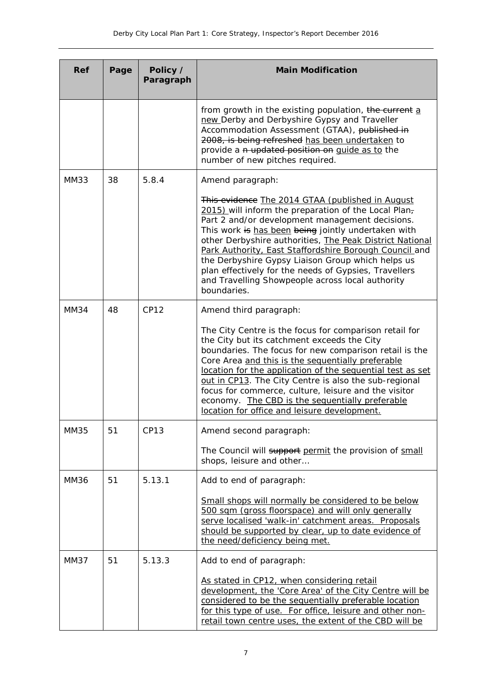| <b>Ref</b>  | Page | Policy /<br>Paragraph | <b>Main Modification</b>                                                                                                                                                                                                                                                                                                                                                                                                                                                                                                  |
|-------------|------|-----------------------|---------------------------------------------------------------------------------------------------------------------------------------------------------------------------------------------------------------------------------------------------------------------------------------------------------------------------------------------------------------------------------------------------------------------------------------------------------------------------------------------------------------------------|
|             |      |                       | from growth in the existing population, the current a<br>new Derby and Derbyshire Gypsy and Traveller<br>Accommodation Assessment (GTAA), published in<br>2008, is being refreshed has been undertaken to<br>provide a n updated position on guide as to the<br>number of new pitches required.                                                                                                                                                                                                                           |
| MM33        | 38   | 5.8.4                 | Amend paragraph:                                                                                                                                                                                                                                                                                                                                                                                                                                                                                                          |
|             |      |                       | This evidence The 2014 GTAA (published in August<br>2015) will inform the preparation of the Local Plan-<br>Part 2 and/or development management decisions.<br>This work is has been being jointly undertaken with<br>other Derbyshire authorities, The Peak District National<br>Park Authority, East Staffordshire Borough Council and<br>the Derbyshire Gypsy Liaison Group which helps us<br>plan effectively for the needs of Gypsies, Travellers<br>and Travelling Showpeople across local authority<br>boundaries. |
| <b>MM34</b> | 48   | <b>CP12</b>           | Amend third paragraph:                                                                                                                                                                                                                                                                                                                                                                                                                                                                                                    |
|             |      |                       | The City Centre is the focus for comparison retail for<br>the City but its catchment exceeds the City<br>boundaries. The focus for new comparison retail is the<br>Core Area and this is the sequentially preferable<br>location for the application of the sequential test as set<br>out in CP13. The City Centre is also the sub-regional<br>focus for commerce, culture, leisure and the visitor<br>economy. The CBD is the sequentially preferable<br>location for office and leisure development.                    |
| MM35        | 51   | <b>CP13</b>           | Amend second paragraph:                                                                                                                                                                                                                                                                                                                                                                                                                                                                                                   |
|             |      |                       | The Council will support permit the provision of small<br>shops, leisure and other                                                                                                                                                                                                                                                                                                                                                                                                                                        |
| <b>MM36</b> | 51   | 5.13.1                | Add to end of paragraph:                                                                                                                                                                                                                                                                                                                                                                                                                                                                                                  |
|             |      |                       | Small shops will normally be considered to be below<br>500 sqm (gross floorspace) and will only generally<br>serve localised 'walk-in' catchment areas. Proposals<br>should be supported by clear, up to date evidence of<br>the need/deficiency being met.                                                                                                                                                                                                                                                               |
| <b>MM37</b> | 51   | 5.13.3                | Add to end of paragraph:                                                                                                                                                                                                                                                                                                                                                                                                                                                                                                  |
|             |      |                       | As stated in CP12, when considering retail<br>development, the 'Core Area' of the City Centre will be<br>considered to be the sequentially preferable location<br>for this type of use. For office, leisure and other non-<br>retail town centre uses, the extent of the CBD will be                                                                                                                                                                                                                                      |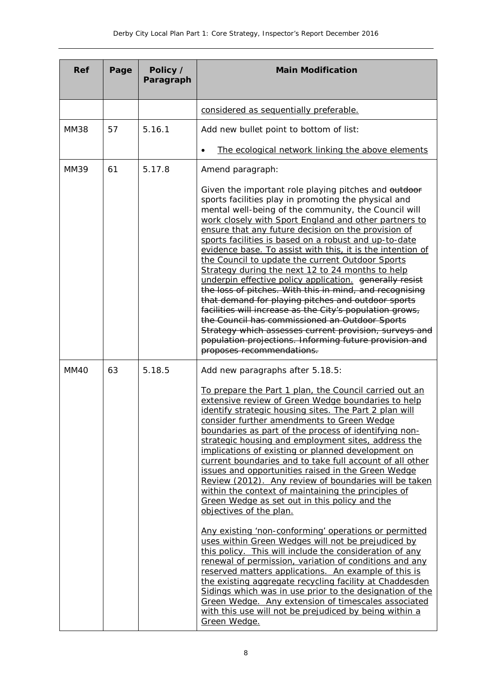| <b>Ref</b>  | Page | Policy /<br>Paragraph | <b>Main Modification</b>                                                                                                                                                                                                                                                                                                                                                                                                                                                                                                                                                                                                                                                                                                                                                                                                                                                                                                                                       |
|-------------|------|-----------------------|----------------------------------------------------------------------------------------------------------------------------------------------------------------------------------------------------------------------------------------------------------------------------------------------------------------------------------------------------------------------------------------------------------------------------------------------------------------------------------------------------------------------------------------------------------------------------------------------------------------------------------------------------------------------------------------------------------------------------------------------------------------------------------------------------------------------------------------------------------------------------------------------------------------------------------------------------------------|
|             |      |                       | considered as sequentially preferable.                                                                                                                                                                                                                                                                                                                                                                                                                                                                                                                                                                                                                                                                                                                                                                                                                                                                                                                         |
| <b>MM38</b> | 57   | 5.16.1                | Add new bullet point to bottom of list:                                                                                                                                                                                                                                                                                                                                                                                                                                                                                                                                                                                                                                                                                                                                                                                                                                                                                                                        |
|             |      |                       | The ecological network linking the above elements<br>$\bullet$                                                                                                                                                                                                                                                                                                                                                                                                                                                                                                                                                                                                                                                                                                                                                                                                                                                                                                 |
| <b>MM39</b> | 61   | 5.17.8                | Amend paragraph:                                                                                                                                                                                                                                                                                                                                                                                                                                                                                                                                                                                                                                                                                                                                                                                                                                                                                                                                               |
|             |      |                       | Given the important role playing pitches and outdoor<br>sports facilities play in promoting the physical and<br>mental well-being of the community, the Council will<br>work closely with Sport England and other partners to<br>ensure that any future decision on the provision of<br>sports facilities is based on a robust and up-to-date<br>evidence base. To assist with this, it is the intention of<br>the Council to update the current Outdoor Sports<br>Strategy during the next 12 to 24 months to help<br>underpin effective policy application. generally resist<br>the loss of pitches. With this in mind, and recognising<br>that demand for playing pitches and outdoor sports<br>facilities will increase as the City's population grows,<br>the Council has commissioned an Outdoor Sports<br>Strategy which assesses current provision, surveys and<br>population projections. Informing future provision and<br>proposes recommendations. |
| MM40        | 63   | 5.18.5                | Add new paragraphs after 5.18.5:                                                                                                                                                                                                                                                                                                                                                                                                                                                                                                                                                                                                                                                                                                                                                                                                                                                                                                                               |
|             |      |                       | To prepare the Part 1 plan, the Council carried out an<br>extensive review of Green Wedge boundaries to help<br>identify strategic housing sites. The Part 2 plan will<br>consider further amendments to Green Wedge<br>boundaries as part of the process of identifying non-<br>strategic housing and employment sites, address the<br>implications of existing or planned development on<br>current boundaries and to take full account of all other<br>issues and opportunities raised in the Green Wedge<br>Review (2012). Any review of boundaries will be taken<br>within the context of maintaining the principles of<br>Green Wedge as set out in this policy and the<br>objectives of the plan.                                                                                                                                                                                                                                                       |
|             |      |                       | Any existing 'non-conforming' operations or permitted<br>uses within Green Wedges will not be prejudiced by<br>this policy. This will include the consideration of any<br>renewal of permission, variation of conditions and any<br>reserved matters applications. An example of this is<br>the existing aggregate recycling facility at Chaddesden<br>Sidings which was in use prior to the designation of the<br>Green Wedge. Any extension of timescales associated<br>with this use will not be prejudiced by being within a<br>Green Wedge.                                                                                                                                                                                                                                                                                                                                                                                                               |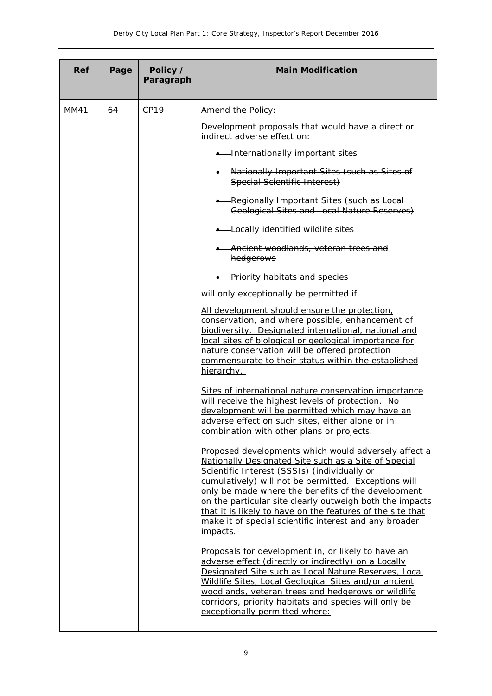| <b>Ref</b> | Page | Policy /<br>Paragraph | <b>Main Modification</b>                                                                                                                                                                                                                                                                                                                                                                                                                                                   |
|------------|------|-----------------------|----------------------------------------------------------------------------------------------------------------------------------------------------------------------------------------------------------------------------------------------------------------------------------------------------------------------------------------------------------------------------------------------------------------------------------------------------------------------------|
| MM41       | 64   | CP19                  | Amend the Policy:                                                                                                                                                                                                                                                                                                                                                                                                                                                          |
|            |      |                       | Development proposals that would have a direct or<br>indirect adverse effect on:                                                                                                                                                                                                                                                                                                                                                                                           |
|            |      |                       | • Internationally important sites                                                                                                                                                                                                                                                                                                                                                                                                                                          |
|            |      |                       | • Nationally Important Sites (such as Sites of<br>Special Scientific Interest)                                                                                                                                                                                                                                                                                                                                                                                             |
|            |      |                       | -Regionally Important Sites (such as Local<br>Geological Sites and Local Nature Reserves)                                                                                                                                                                                                                                                                                                                                                                                  |
|            |      |                       | • Locally identified wildlife sites                                                                                                                                                                                                                                                                                                                                                                                                                                        |
|            |      |                       | -Ancient woodlands, veteran trees and<br>hedgerows                                                                                                                                                                                                                                                                                                                                                                                                                         |
|            |      |                       | • Priority habitats and species                                                                                                                                                                                                                                                                                                                                                                                                                                            |
|            |      |                       | will only exceptionally be permitted if:                                                                                                                                                                                                                                                                                                                                                                                                                                   |
|            |      |                       | All development should ensure the protection,<br>conservation, and where possible, enhancement of<br>biodiversity. Designated international, national and<br>local sites of biological or geological importance for<br>nature conservation will be offered protection<br>commensurate to their status within the established<br>hierarchy.                                                                                                                                 |
|            |      |                       | Sites of international nature conservation importance<br>will receive the highest levels of protection. No<br>development will be permitted which may have an<br>adverse effect on such sites, either alone or in<br><u>combination with other plans or projects.</u>                                                                                                                                                                                                      |
|            |      |                       | Proposed developments which would adversely affect a<br>Nationally Designated Site such as a Site of Special<br>Scientific Interest (SSSIs) (individually or<br>cumulatively) will not be permitted. Exceptions will<br>only be made where the benefits of the development<br>on the particular site clearly outweigh both the impacts<br>that it is likely to have on the features of the site that<br>make it of special scientific interest and any broader<br>impacts. |
|            |      |                       | Proposals for development in, or likely to have an<br>adverse effect (directly or indirectly) on a Locally<br>Designated Site such as Local Nature Reserves, Local<br>Wildlife Sites, Local Geological Sites and/or ancient<br>woodlands, veteran trees and hedgerows or wildlife<br>corridors, priority habitats and species will only be<br>exceptionally permitted where:                                                                                               |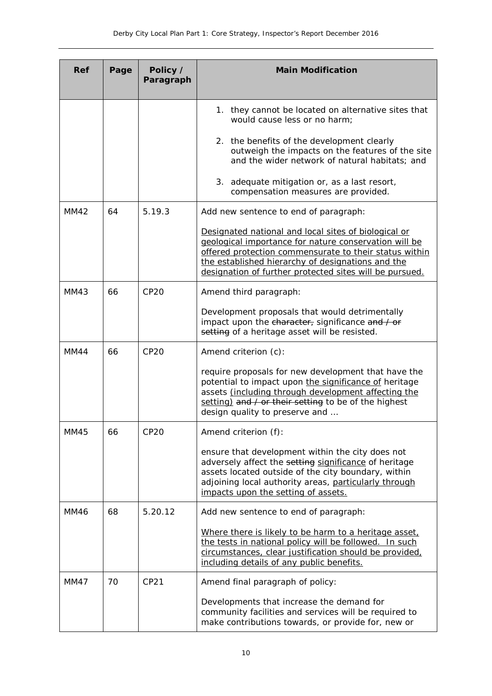| Ref         | Page | Policy /<br>Paragraph | <b>Main Modification</b>                                                                                                                                                                                                                                                                |
|-------------|------|-----------------------|-----------------------------------------------------------------------------------------------------------------------------------------------------------------------------------------------------------------------------------------------------------------------------------------|
|             |      |                       | 1. they cannot be located on alternative sites that<br>would cause less or no harm;                                                                                                                                                                                                     |
|             |      |                       | 2. the benefits of the development clearly<br>outweigh the impacts on the features of the site<br>and the wider network of natural habitats; and                                                                                                                                        |
|             |      |                       | 3. adequate mitigation or, as a last resort,<br>compensation measures are provided.                                                                                                                                                                                                     |
| MM42        | 64   | 5.19.3                | Add new sentence to end of paragraph:                                                                                                                                                                                                                                                   |
|             |      |                       | Designated national and local sites of biological or<br>geological importance for nature conservation will be<br>offered protection commensurate to their status within<br>the established hierarchy of designations and the<br>designation of further protected sites will be pursued. |
| MM43        | 66   | CP20                  | Amend third paragraph:                                                                                                                                                                                                                                                                  |
|             |      |                       | Development proposals that would detrimentally<br>impact upon the character, significance and / or<br>setting of a heritage asset will be resisted.                                                                                                                                     |
| MM44        | 66   | <b>CP20</b>           | Amend criterion (c):                                                                                                                                                                                                                                                                    |
|             |      |                       | require proposals for new development that have the<br>potential to impact upon the significance of heritage<br>assets (including through development affecting the<br>setting) and / or their setting to be of the highest<br>design quality to preserve and                           |
| MM45        | 66   | <b>CP20</b>           | Amend criterion (f):                                                                                                                                                                                                                                                                    |
|             |      |                       | ensure that development within the city does not<br>adversely affect the setting significance of heritage<br>assets located outside of the city boundary, within<br>adjoining local authority areas, particularly through<br>impacts upon the setting of assets.                        |
| <b>MM46</b> | 68   | 5.20.12               | Add new sentence to end of paragraph:                                                                                                                                                                                                                                                   |
|             |      |                       | Where there is likely to be harm to a heritage asset,<br>the tests in national policy will be followed. In such<br>circumstances, clear justification should be provided,<br>including details of any public benefits.                                                                  |
| MM47        | 70   | CP21                  | Amend final paragraph of policy:                                                                                                                                                                                                                                                        |
|             |      |                       | Developments that increase the demand for<br>community facilities and services will be required to<br>make contributions towards, or provide for, new or                                                                                                                                |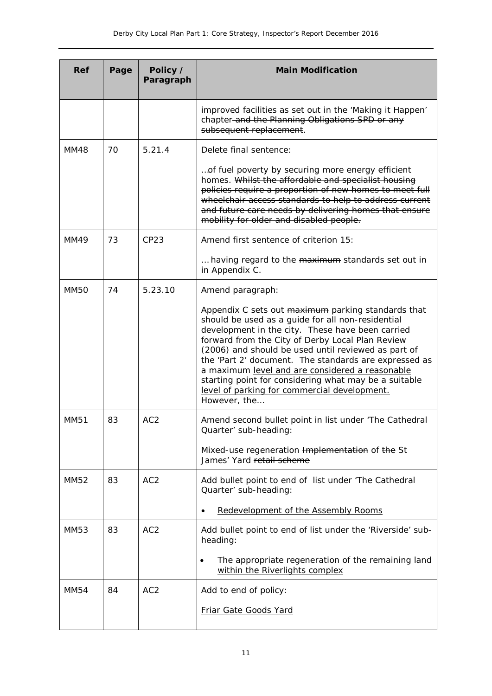| <b>Ref</b>  | Page | Policy /<br>Paragraph | <b>Main Modification</b>                                                                                                                                                                                                                                                                                                                                                                                                                                                                                    |
|-------------|------|-----------------------|-------------------------------------------------------------------------------------------------------------------------------------------------------------------------------------------------------------------------------------------------------------------------------------------------------------------------------------------------------------------------------------------------------------------------------------------------------------------------------------------------------------|
|             |      |                       | improved facilities as set out in the 'Making it Happen'<br>chapter-and the Planning Obligations SPD or any<br>subsequent replacement.                                                                                                                                                                                                                                                                                                                                                                      |
| MM48        | 70   | 5.21.4                | Delete final sentence:                                                                                                                                                                                                                                                                                                                                                                                                                                                                                      |
|             |      |                       | of fuel poverty by securing more energy efficient<br>homes. Whilst the affordable and specialist housing<br>policies require a proportion of new homes to meet full<br>wheelchair access standards to help to address current<br>and future care needs by delivering homes that ensure<br>mobility for older and disabled people.                                                                                                                                                                           |
| <b>MM49</b> | 73   | CP23                  | Amend first sentence of criterion 15:                                                                                                                                                                                                                                                                                                                                                                                                                                                                       |
|             |      |                       | having regard to the maximum standards set out in<br>in Appendix C.                                                                                                                                                                                                                                                                                                                                                                                                                                         |
| <b>MM50</b> | 74   | 5.23.10               | Amend paragraph:                                                                                                                                                                                                                                                                                                                                                                                                                                                                                            |
|             |      |                       | Appendix C sets out maximum parking standards that<br>should be used as a guide for all non-residential<br>development in the city. These have been carried<br>forward from the City of Derby Local Plan Review<br>(2006) and should be used until reviewed as part of<br>the 'Part 2' document. The standards are expressed as<br>a maximum level and are considered a reasonable<br>starting point for considering what may be a suitable<br>level of parking for commercial development.<br>However, the |
| <b>MM51</b> | 83   | AC <sub>2</sub>       | Amend second bullet point in list under 'The Cathedral<br>Quarter' sub-heading:                                                                                                                                                                                                                                                                                                                                                                                                                             |
|             |      |                       | Mixed-use regeneration Implementation of the St<br>James' Yard retail scheme                                                                                                                                                                                                                                                                                                                                                                                                                                |
| MM52        | 83   | AC <sub>2</sub>       | Add bullet point to end of list under 'The Cathedral<br>Quarter' sub-heading:                                                                                                                                                                                                                                                                                                                                                                                                                               |
|             |      |                       | Redevelopment of the Assembly Rooms                                                                                                                                                                                                                                                                                                                                                                                                                                                                         |
| MM53        | 83   | AC <sub>2</sub>       | Add bullet point to end of list under the 'Riverside' sub-<br>heading:<br>The appropriate regeneration of the remaining land<br>٠<br>within the Riverlights complex                                                                                                                                                                                                                                                                                                                                         |
| <b>MM54</b> | 84   | AC <sub>2</sub>       | Add to end of policy:                                                                                                                                                                                                                                                                                                                                                                                                                                                                                       |
|             |      |                       | Friar Gate Goods Yard                                                                                                                                                                                                                                                                                                                                                                                                                                                                                       |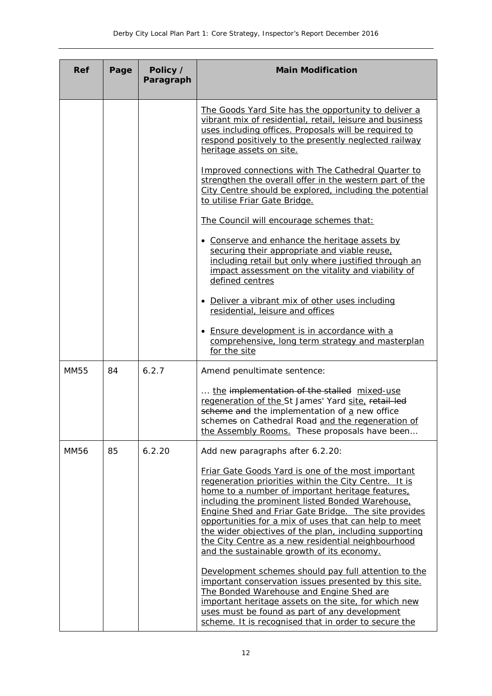| <b>Ref</b>  | Page | Policy /<br>Paragraph | <b>Main Modification</b>                                                                                                                                                                                                                                                                                                                                                                                                                                                                           |
|-------------|------|-----------------------|----------------------------------------------------------------------------------------------------------------------------------------------------------------------------------------------------------------------------------------------------------------------------------------------------------------------------------------------------------------------------------------------------------------------------------------------------------------------------------------------------|
|             |      |                       | The Goods Yard Site has the opportunity to deliver a<br>vibrant mix of residential, retail, leisure and business<br>uses including offices. Proposals will be required to<br>respond positively to the presently neglected railway<br>heritage assets on site.                                                                                                                                                                                                                                     |
|             |      |                       | Improved connections with The Cathedral Quarter to<br>strengthen the overall offer in the western part of the<br>City Centre should be explored, including the potential<br>to utilise Friar Gate Bridge.                                                                                                                                                                                                                                                                                          |
|             |      |                       | The Council will encourage schemes that:                                                                                                                                                                                                                                                                                                                                                                                                                                                           |
|             |      |                       | • Conserve and enhance the heritage assets by<br>securing their appropriate and viable reuse,<br>including retail but only where justified through an<br>impact assessment on the vitality and viability of<br>defined centres                                                                                                                                                                                                                                                                     |
|             |      |                       | • Deliver a vibrant mix of other uses including<br>residential, leisure and offices                                                                                                                                                                                                                                                                                                                                                                                                                |
|             |      |                       | • Ensure development is in accordance with a<br>comprehensive, long term strategy and masterplan<br>for the site                                                                                                                                                                                                                                                                                                                                                                                   |
| <b>MM55</b> | 84   | 6.2.7                 | Amend penultimate sentence:                                                                                                                                                                                                                                                                                                                                                                                                                                                                        |
|             |      |                       | the implementation of the stalled mixed-use<br>regeneration of the St James' Yard site, retail-led<br>scheme and the implementation of a new office<br>schemes on Cathedral Road and the regeneration of<br>the Assembly Rooms. These proposals have been                                                                                                                                                                                                                                          |
| <b>MM56</b> | 85   | 6.2.20                | Add new paragraphs after 6.2.20:                                                                                                                                                                                                                                                                                                                                                                                                                                                                   |
|             |      |                       | Friar Gate Goods Yard is one of the most important<br>regeneration priorities within the City Centre. It is<br>home to a number of important heritage features.<br>including the prominent listed Bonded Warehouse,<br>Engine Shed and Friar Gate Bridge. The site provides<br>opportunities for a mix of uses that can help to meet<br>the wider objectives of the plan, including supporting<br>the City Centre as a new residential neighbourhood<br>and the sustainable growth of its economy. |
|             |      |                       | Development schemes should pay full attention to the<br>important conservation issues presented by this site.<br>The Bonded Warehouse and Engine Shed are<br>important heritage assets on the site, for which new<br>uses must be found as part of any development<br>scheme. It is recognised that in order to secure the                                                                                                                                                                         |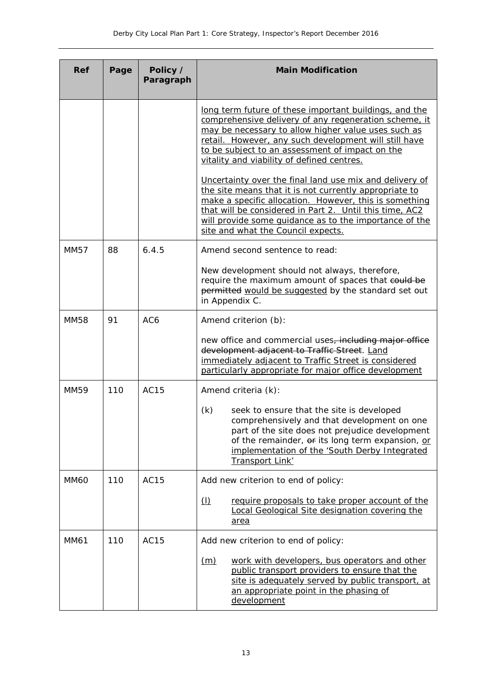| <b>Ref</b>  | Page | Policy /<br>Paragraph | <b>Main Modification</b>                                                                                                                                                                                                                                                                                                               |
|-------------|------|-----------------------|----------------------------------------------------------------------------------------------------------------------------------------------------------------------------------------------------------------------------------------------------------------------------------------------------------------------------------------|
|             |      |                       | long term future of these important buildings, and the<br>comprehensive delivery of any regeneration scheme, it<br>may be necessary to allow higher value uses such as<br>retail. However, any such development will still have<br>to be subject to an assessment of impact on the<br>vitality and viability of defined centres.       |
|             |      |                       | Uncertainty over the final land use mix and delivery of<br>the site means that it is not currently appropriate to<br>make a specific allocation. However, this is something<br>that will be considered in Part 2. Until this time, AC2<br>will provide some quidance as to the importance of the<br>site and what the Council expects. |
| <b>MM57</b> | 88   | 6.4.5                 | Amend second sentence to read:                                                                                                                                                                                                                                                                                                         |
|             |      |                       | New development should not always, therefore,<br>require the maximum amount of spaces that could be<br>permitted would be suggested by the standard set out<br>in Appendix C.                                                                                                                                                          |
| <b>MM58</b> | 91   | AC6                   | Amend criterion (b):                                                                                                                                                                                                                                                                                                                   |
|             |      |                       | new office and commercial uses, including major office<br>development adjacent to Traffic Street. Land<br>immediately adjacent to Traffic Street is considered<br>particularly appropriate for major office development                                                                                                                |
| <b>MM59</b> | 110  | <b>AC15</b>           | Amend criteria (k):                                                                                                                                                                                                                                                                                                                    |
|             |      |                       | (k)<br>seek to ensure that the site is developed<br>comprehensively and that development on one<br>part of the site does not prejudice development<br>of the remainder, or its long term expansion, or<br>implementation of the 'South Derby Integrated<br>Transport Link'                                                             |
| <b>MM60</b> | 110  | <b>AC15</b>           | Add new criterion to end of policy:                                                                                                                                                                                                                                                                                                    |
|             |      |                       | $\Box$<br>require proposals to take proper account of the<br>Local Geological Site designation covering the<br>area                                                                                                                                                                                                                    |
| MM61        | 110  | <b>AC15</b>           | Add new criterion to end of policy:                                                                                                                                                                                                                                                                                                    |
|             |      |                       | work with developers, bus operators and other<br><u>(m)</u><br>public transport providers to ensure that the<br>site is adequately served by public transport, at<br>an appropriate point in the phasing of<br>development                                                                                                             |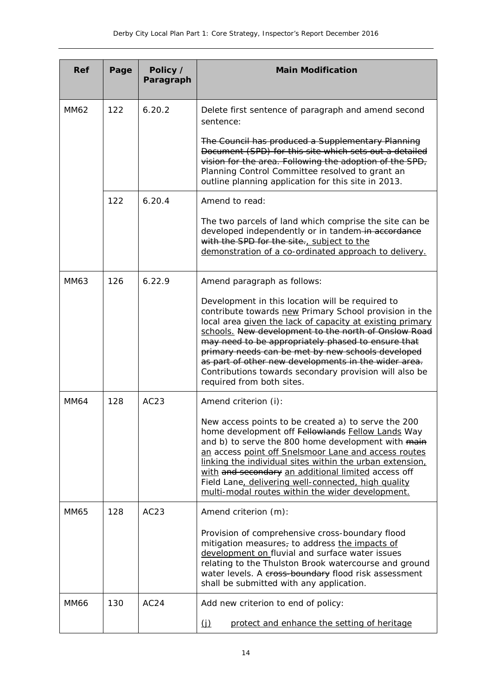| Ref         | Page | Policy /<br>Paragraph | <b>Main Modification</b>                                                                                                                                                                                                                                                                                                                                                                                                                                                                  |
|-------------|------|-----------------------|-------------------------------------------------------------------------------------------------------------------------------------------------------------------------------------------------------------------------------------------------------------------------------------------------------------------------------------------------------------------------------------------------------------------------------------------------------------------------------------------|
| MM62        | 122  | 6.20.2                | Delete first sentence of paragraph and amend second<br>sentence:                                                                                                                                                                                                                                                                                                                                                                                                                          |
|             |      |                       | The Council has produced a Supplementary Planning<br>Document (SPD) for this site which sets out a detailed<br>vision for the area. Following the adoption of the SPD,<br>Planning Control Committee resolved to grant an<br>outline planning application for this site in 2013.                                                                                                                                                                                                          |
|             | 122  | 6.20.4                | Amend to read:                                                                                                                                                                                                                                                                                                                                                                                                                                                                            |
|             |      |                       | The two parcels of land which comprise the site can be<br>developed independently or in tandem-in accordance<br>with the SPD for the site., subject to the<br>demonstration of a co-ordinated approach to delivery.                                                                                                                                                                                                                                                                       |
| MM63        | 126  | 6.22.9                | Amend paragraph as follows:                                                                                                                                                                                                                                                                                                                                                                                                                                                               |
|             |      |                       | Development in this location will be required to<br>contribute towards new Primary School provision in the<br>local area given the lack of capacity at existing primary<br>schools. New development to the north of Onslow Road<br>may need to be appropriately phased to ensure that<br>primary needs can be met by new schools developed<br>as part of other new developments in the wider area.<br>Contributions towards secondary provision will also be<br>required from both sites. |
| <b>MM64</b> | 128  | AC23                  | Amend criterion (i):                                                                                                                                                                                                                                                                                                                                                                                                                                                                      |
|             |      |                       | New access points to be created a) to serve the 200<br>home development off Fellowlands Fellow Lands Way<br>and b) to serve the 800 home development with main<br>an access point off Snelsmoor Lane and access routes<br>linking the individual sites within the urban extension,<br>with and secondary an additional limited access off<br>Field Lane, delivering well-connected, high quality<br>multi-modal routes within the wider development.                                      |
| <b>MM65</b> | 128  | AC23                  | Amend criterion (m):                                                                                                                                                                                                                                                                                                                                                                                                                                                                      |
|             |      |                       | Provision of comprehensive cross-boundary flood<br>mitigation measures, to address the impacts of<br>development on fluvial and surface water issues<br>relating to the Thulston Brook watercourse and ground<br>water levels. A cross-boundary flood risk assessment<br>shall be submitted with any application.                                                                                                                                                                         |
| <b>MM66</b> | 130  | AC <sub>24</sub>      | Add new criterion to end of policy:                                                                                                                                                                                                                                                                                                                                                                                                                                                       |
|             |      |                       | <u>(j)</u><br>protect and enhance the setting of heritage                                                                                                                                                                                                                                                                                                                                                                                                                                 |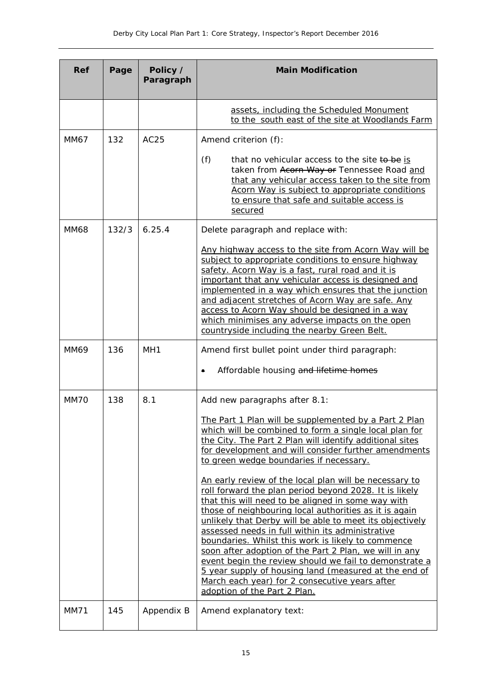| <b>Ref</b>  | Page  | Policy /<br>Paragraph | <b>Main Modification</b>                                                                                                                                                                                                                                                                                                                                                                                                                                                                                                                                                                                                                                                                                                                                                                                                                                                                                                                                                                 |
|-------------|-------|-----------------------|------------------------------------------------------------------------------------------------------------------------------------------------------------------------------------------------------------------------------------------------------------------------------------------------------------------------------------------------------------------------------------------------------------------------------------------------------------------------------------------------------------------------------------------------------------------------------------------------------------------------------------------------------------------------------------------------------------------------------------------------------------------------------------------------------------------------------------------------------------------------------------------------------------------------------------------------------------------------------------------|
|             |       |                       | assets, including the Scheduled Monument<br>to the south east of the site at Woodlands Farm                                                                                                                                                                                                                                                                                                                                                                                                                                                                                                                                                                                                                                                                                                                                                                                                                                                                                              |
| MM67        | 132   | AC25                  | Amend criterion (f):                                                                                                                                                                                                                                                                                                                                                                                                                                                                                                                                                                                                                                                                                                                                                                                                                                                                                                                                                                     |
|             |       |                       | (f)<br>that no vehicular access to the site to be is<br>taken from Acorn Way or Tennessee Road and<br>that any vehicular access taken to the site from<br>Acorn Way is subject to appropriate conditions<br>to ensure that safe and suitable access is<br>secured                                                                                                                                                                                                                                                                                                                                                                                                                                                                                                                                                                                                                                                                                                                        |
| <b>MM68</b> | 132/3 | 6.25.4                | Delete paragraph and replace with:                                                                                                                                                                                                                                                                                                                                                                                                                                                                                                                                                                                                                                                                                                                                                                                                                                                                                                                                                       |
|             |       |                       | Any highway access to the site from Acorn Way will be<br>subject to appropriate conditions to ensure highway<br>safety. Acorn Way is a fast, rural road and it is<br>important that any vehicular access is designed and<br>implemented in a way which ensures that the junction<br>and adjacent stretches of Acorn Way are safe. Any<br>access to Acorn Way should be designed in a way<br>which minimises any adverse impacts on the open<br>countryside including the nearby Green Belt.                                                                                                                                                                                                                                                                                                                                                                                                                                                                                              |
| MM69        | 136   | MH <sub>1</sub>       | Amend first bullet point under third paragraph:<br>Affordable housing and lifetime homes                                                                                                                                                                                                                                                                                                                                                                                                                                                                                                                                                                                                                                                                                                                                                                                                                                                                                                 |
| MM70        | 138   | 8.1                   | Add new paragraphs after 8.1:<br>The Part 1 Plan will be supplemented by a Part 2 Plan<br>which will be combined to form a single local plan for<br>the City. The Part 2 Plan will identify additional sites<br>for development and will consider further amendments<br>to green wedge boundaries if necessary.<br>An early review of the local plan will be necessary to<br>roll forward the plan period beyond 2028. It is likely<br>that this will need to be aligned in some way with<br>those of neighbouring local authorities as it is again<br>unlikely that Derby will be able to meet its objectively<br>assessed needs in full within its administrative<br>boundaries. Whilst this work is likely to commence<br>soon after adoption of the Part 2 Plan, we will in any<br>event begin the review should we fail to demonstrate a<br>5 year supply of housing land (measured at the end of<br>March each year) for 2 consecutive years after<br>adoption of the Part 2 Plan. |
| <b>MM71</b> | 145   | Appendix B            | Amend explanatory text:                                                                                                                                                                                                                                                                                                                                                                                                                                                                                                                                                                                                                                                                                                                                                                                                                                                                                                                                                                  |